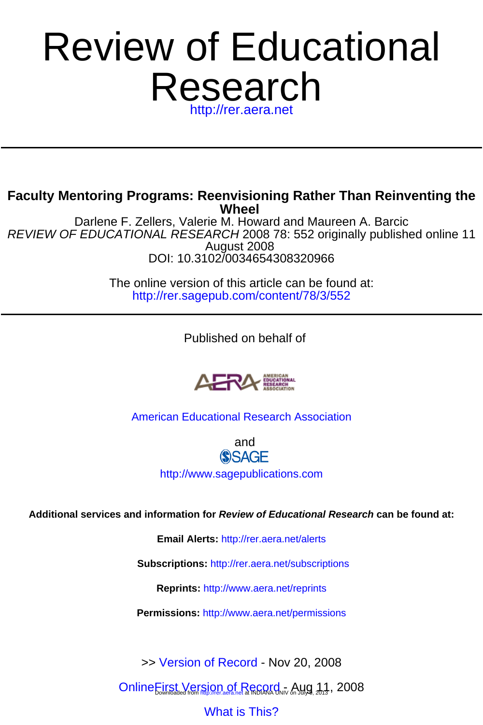# Research <http://rer.aera.net> Review of Educational

**Wheel Faculty Mentoring Programs: Reenvisioning Rather Than Reinventing the**

DOI: 10.3102/0034654308320966 August 2008 REVIEW OF EDUCATIONAL RESEARCH 2008 78: 552 originally published online 11 Darlene F. Zellers, Valerie M. Howard and Maureen A. Barcic

> <http://rer.sagepub.com/content/78/3/552> The online version of this article can be found at:

> > Published on behalf of



[American Educational Research Association](http://www.aera.net)

and **SSAGE** 

<http://www.sagepublications.com>

**Additional services and information for Review of Educational Research can be found at:**

**Email Alerts:** <http://rer.aera.net/alerts>

**Subscriptions:** <http://rer.aera.net/subscriptions>

**Reprints:** <http://www.aera.net/reprints>

**Permissions:** <http://www.aera.net/permissions>

>> [Version of Record -](http://rer.sagepub.com/content/78/3/552.full.pdf) Nov 20, 2008

[OnlineFirst Version of Record](http://rer.sagepub.com/content/early/2008/08/11/0034654308320966.full.pdf) - Aug 11, 2008

[What is This?](http://online.sagepub.com/site/sphelp/vorhelp.xhtml)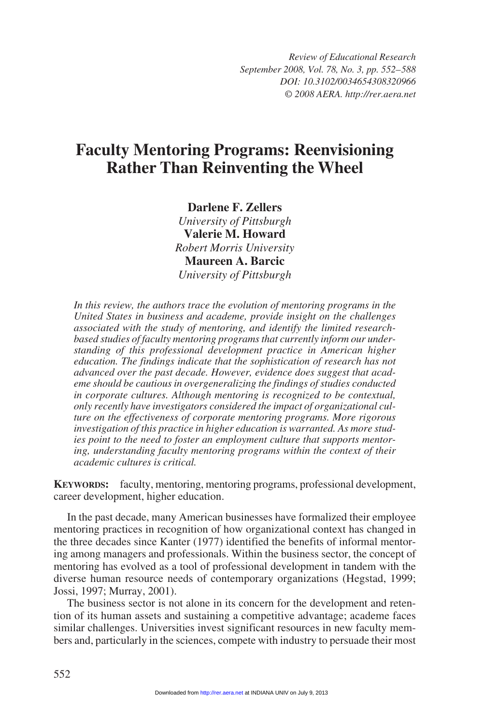*Review of Educational Research September 2008, Vol. 78, No. 3, pp. 552–588 DOI: 10.3102/0034654308320966 © 2008 AERA. http://rer.aera.net*

## **Faculty Mentoring Programs: Reenvisioning Rather Than Reinventing the Wheel**

**Darlene F. Zellers** *University of Pittsburgh* **Valerie M. Howard** *Robert Morris University* **Maureen A. Barcic** *University of Pittsburgh*

*In this review, the authors trace the evolution of mentoring programs in the United States in business and academe, provide insight on the challenges associated with the study of mentoring, and identify the limited researchbased studies of faculty mentoring programs that currently inform our understanding of this professional development practice in American higher education. The findings indicate that the sophistication of research has not advanced over the past decade. However, evidence does suggest that academe should be cautious in overgeneralizing the findings of studies conducted in corporate cultures. Although mentoring is recognized to be contextual, only recently have investigators considered the impact of organizational culture on the effectiveness of corporate mentoring programs. More rigorous investigation of this practice in higher education is warranted. As more studies point to the need to foster an employment culture that supports mentoring, understanding faculty mentoring programs within the context of their academic cultures is critical.*

**KEYWORDS:** faculty, mentoring, mentoring programs, professional development, career development, higher education.

In the past decade, many American businesses have formalized their employee mentoring practices in recognition of how organizational context has changed in the three decades since Kanter (1977) identified the benefits of informal mentoring among managers and professionals. Within the business sector, the concept of mentoring has evolved as a tool of professional development in tandem with the diverse human resource needs of contemporary organizations (Hegstad, 1999; Jossi, 1997; Murray, 2001).

The business sector is not alone in its concern for the development and retention of its human assets and sustaining a competitive advantage; academe faces similar challenges. Universities invest significant resources in new faculty members and, particularly in the sciences, compete with industry to persuade their most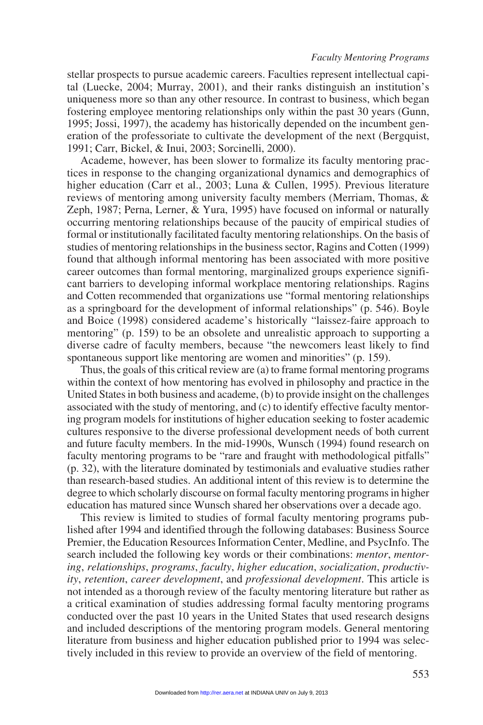stellar prospects to pursue academic careers. Faculties represent intellectual capital (Luecke, 2004; Murray, 2001), and their ranks distinguish an institution's uniqueness more so than any other resource. In contrast to business, which began fostering employee mentoring relationships only within the past 30 years (Gunn, 1995; Jossi, 1997), the academy has historically depended on the incumbent generation of the professoriate to cultivate the development of the next (Bergquist, 1991; Carr, Bickel, & Inui, 2003; Sorcinelli, 2000).

Academe, however, has been slower to formalize its faculty mentoring practices in response to the changing organizational dynamics and demographics of higher education (Carr et al., 2003; Luna & Cullen, 1995). Previous literature reviews of mentoring among university faculty members (Merriam, Thomas, & Zeph, 1987; Perna, Lerner, & Yura, 1995) have focused on informal or naturally occurring mentoring relationships because of the paucity of empirical studies of formal or institutionally facilitated faculty mentoring relationships. On the basis of studies of mentoring relationships in the business sector, Ragins and Cotten (1999) found that although informal mentoring has been associated with more positive career outcomes than formal mentoring, marginalized groups experience significant barriers to developing informal workplace mentoring relationships. Ragins and Cotten recommended that organizations use "formal mentoring relationships as a springboard for the development of informal relationships" (p. 546). Boyle and Boice (1998) considered academe's historically "laissez-faire approach to mentoring" (p. 159) to be an obsolete and unrealistic approach to supporting a diverse cadre of faculty members, because "the newcomers least likely to find spontaneous support like mentoring are women and minorities" (p. 159).

Thus, the goals of this critical review are (a) to frame formal mentoring programs within the context of how mentoring has evolved in philosophy and practice in the United States in both business and academe, (b) to provide insight on the challenges associated with the study of mentoring, and (c) to identify effective faculty mentoring program models for institutions of higher education seeking to foster academic cultures responsive to the diverse professional development needs of both current and future faculty members. In the mid-1990s, Wunsch (1994) found research on faculty mentoring programs to be "rare and fraught with methodological pitfalls" (p. 32), with the literature dominated by testimonials and evaluative studies rather than research-based studies. An additional intent of this review is to determine the degree to which scholarly discourse on formal faculty mentoring programs in higher education has matured since Wunsch shared her observations over a decade ago.

This review is limited to studies of formal faculty mentoring programs published after 1994 and identified through the following databases: Business Source Premier, the Education Resources Information Center, Medline, and PsycInfo. The search included the following key words or their combinations: *mentor*, *mentoring*, *relationships*, *programs*, *faculty*, *higher education*, *socialization*, *productivity*, *retention*, *career development*, and *professional development*. This article is not intended as a thorough review of the faculty mentoring literature but rather as a critical examination of studies addressing formal faculty mentoring programs conducted over the past 10 years in the United States that used research designs and included descriptions of the mentoring program models. General mentoring literature from business and higher education published prior to 1994 was selectively included in this review to provide an overview of the field of mentoring.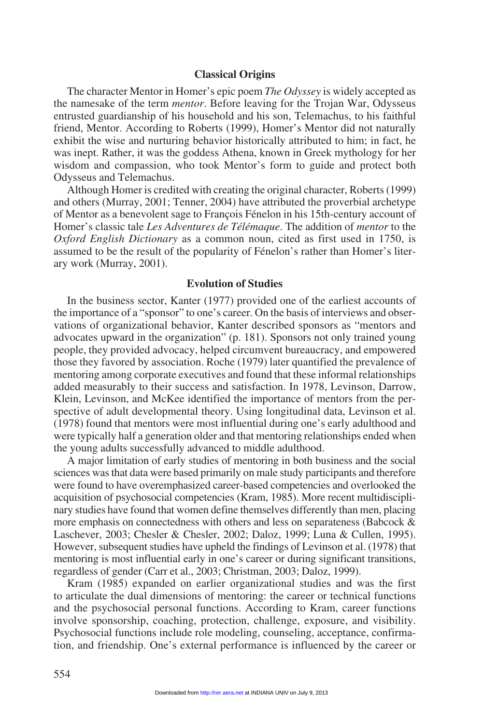#### **Classical Origins**

The character Mentor in Homer's epic poem *The Odyssey* is widely accepted as the namesake of the term *mentor*. Before leaving for the Trojan War, Odysseus entrusted guardianship of his household and his son, Telemachus, to his faithful friend, Mentor. According to Roberts (1999), Homer's Mentor did not naturally exhibit the wise and nurturing behavior historically attributed to him; in fact, he was inept. Rather, it was the goddess Athena, known in Greek mythology for her wisdom and compassion, who took Mentor's form to guide and protect both Odysseus and Telemachus.

Although Homer is credited with creating the original character, Roberts (1999) and others (Murray, 2001; Tenner, 2004) have attributed the proverbial archetype of Mentor as a benevolent sage to François Fénelon in his 15th-century account of Homer's classic tale *Les Adventures de Télémaque*. The addition of *mentor* to the *Oxford English Dictionary* as a common noun, cited as first used in 1750, is assumed to be the result of the popularity of Fénelon's rather than Homer's literary work (Murray, 2001).

## **Evolution of Studies**

In the business sector, Kanter (1977) provided one of the earliest accounts of the importance of a "sponsor" to one's career. On the basis of interviews and observations of organizational behavior, Kanter described sponsors as "mentors and advocates upward in the organization" (p. 181). Sponsors not only trained young people, they provided advocacy, helped circumvent bureaucracy, and empowered those they favored by association. Roche (1979) later quantified the prevalence of mentoring among corporate executives and found that these informal relationships added measurably to their success and satisfaction. In 1978, Levinson, Darrow, Klein, Levinson, and McKee identified the importance of mentors from the perspective of adult developmental theory. Using longitudinal data, Levinson et al. (1978) found that mentors were most influential during one's early adulthood and were typically half a generation older and that mentoring relationships ended when the young adults successfully advanced to middle adulthood.

A major limitation of early studies of mentoring in both business and the social sciences was that data were based primarily on male study participants and therefore were found to have overemphasized career-based competencies and overlooked the acquisition of psychosocial competencies (Kram, 1985). More recent multidisciplinary studies have found that women define themselves differently than men, placing more emphasis on connectedness with others and less on separateness (Babcock  $\&$ Laschever, 2003; Chesler & Chesler, 2002; Daloz, 1999; Luna & Cullen, 1995). However, subsequent studies have upheld the findings of Levinson et al. (1978) that mentoring is most influential early in one's career or during significant transitions, regardless of gender (Carr et al., 2003; Christman, 2003; Daloz, 1999).

Kram (1985) expanded on earlier organizational studies and was the first to articulate the dual dimensions of mentoring: the career or technical functions and the psychosocial personal functions. According to Kram, career functions involve sponsorship, coaching, protection, challenge, exposure, and visibility. Psychosocial functions include role modeling, counseling, acceptance, confirmation, and friendship. One's external performance is influenced by the career or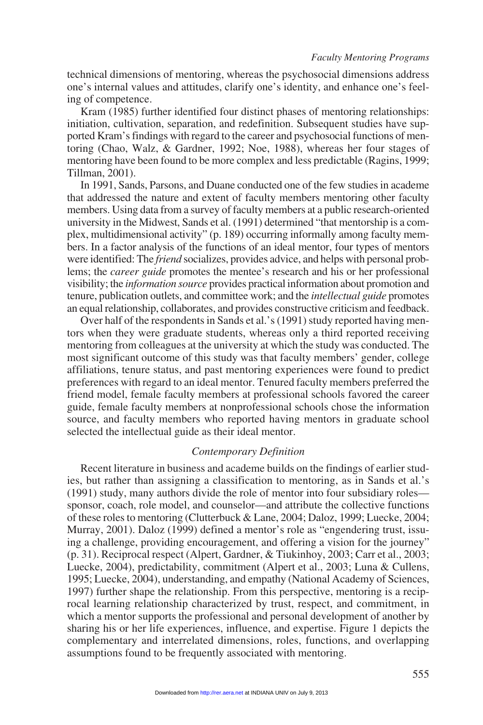technical dimensions of mentoring, whereas the psychosocial dimensions address one's internal values and attitudes, clarify one's identity, and enhance one's feeling of competence.

Kram (1985) further identified four distinct phases of mentoring relationships: initiation, cultivation, separation, and redefinition. Subsequent studies have supported Kram's findings with regard to the career and psychosocial functions of mentoring (Chao, Walz, & Gardner, 1992; Noe, 1988), whereas her four stages of mentoring have been found to be more complex and less predictable (Ragins, 1999; Tillman, 2001).

In 1991, Sands, Parsons, and Duane conducted one of the few studies in academe that addressed the nature and extent of faculty members mentoring other faculty members. Using data from a survey of faculty members at a public research-oriented university in the Midwest, Sands et al. (1991) determined "that mentorship is a complex, multidimensional activity" (p. 189) occurring informally among faculty members. In a factor analysis of the functions of an ideal mentor, four types of mentors were identified: The *friend* socializes, provides advice, and helps with personal problems; the *career guide* promotes the mentee's research and his or her professional visibility; the *information source* provides practical information about promotion and tenure, publication outlets, and committee work; and the *intellectual guide* promotes an equal relationship, collaborates, and provides constructive criticism and feedback.

Over half of the respondents in Sands et al.'s (1991) study reported having mentors when they were graduate students, whereas only a third reported receiving mentoring from colleagues at the university at which the study was conducted. The most significant outcome of this study was that faculty members' gender, college affiliations, tenure status, and past mentoring experiences were found to predict preferences with regard to an ideal mentor. Tenured faculty members preferred the friend model, female faculty members at professional schools favored the career guide, female faculty members at nonprofessional schools chose the information source, and faculty members who reported having mentors in graduate school selected the intellectual guide as their ideal mentor.

## *Contemporary Definition*

Recent literature in business and academe builds on the findings of earlier studies, but rather than assigning a classification to mentoring, as in Sands et al.'s (1991) study, many authors divide the role of mentor into four subsidiary roles sponsor, coach, role model, and counselor—and attribute the collective functions of these roles to mentoring (Clutterbuck & Lane, 2004; Daloz, 1999; Luecke, 2004; Murray, 2001). Daloz (1999) defined a mentor's role as "engendering trust, issuing a challenge, providing encouragement, and offering a vision for the journey" (p. 31). Reciprocal respect (Alpert, Gardner, & Tiukinhoy, 2003; Carr et al., 2003; Luecke, 2004), predictability, commitment (Alpert et al., 2003; Luna & Cullens, 1995; Luecke, 2004), understanding, and empathy (National Academy of Sciences, 1997) further shape the relationship. From this perspective, mentoring is a reciprocal learning relationship characterized by trust, respect, and commitment, in which a mentor supports the professional and personal development of another by sharing his or her life experiences, influence, and expertise. Figure 1 depicts the complementary and interrelated dimensions, roles, functions, and overlapping assumptions found to be frequently associated with mentoring.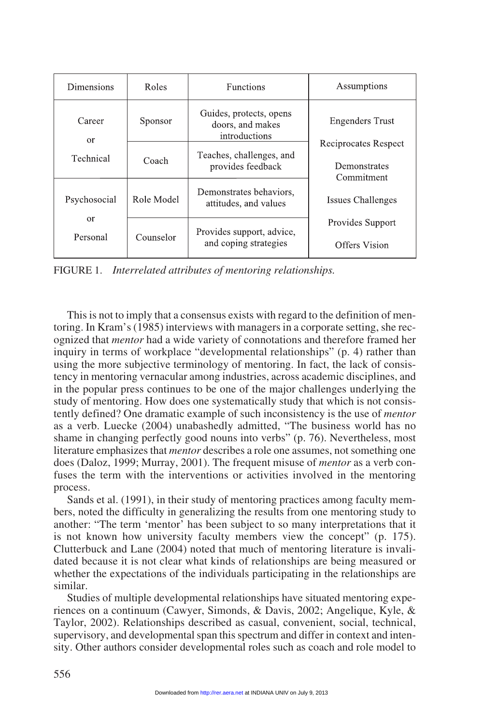| <b>Dimensions</b>       | Roles          | <b>Functions</b>                                             | Assumptions                                        |
|-------------------------|----------------|--------------------------------------------------------------|----------------------------------------------------|
| Career<br><sub>or</sub> | <b>Sponsor</b> | Guides, protects, opens<br>doors, and makes<br>introductions | <b>Engenders Trust</b>                             |
| Technical               | Coach          | Teaches, challenges, and<br>provides feedback                | Reciprocates Respect<br>Demonstrates<br>Commitment |
| Psychosocial            | Role Model     | Demonstrates behaviors,<br>attitudes, and values             | Issues Challenges                                  |
| or                      |                | Provides support, advice,                                    | Provides Support                                   |
| Personal                | Counselor      | and coping strategies                                        | Offers Vision                                      |

FIGURE 1. *Interrelated attributes of mentoring relationships.*

This is not to imply that a consensus exists with regard to the definition of mentoring. In Kram's (1985) interviews with managers in a corporate setting, she recognized that *mentor* had a wide variety of connotations and therefore framed her inquiry in terms of workplace "developmental relationships" (p. 4) rather than using the more subjective terminology of mentoring. In fact, the lack of consistency in mentoring vernacular among industries, across academic disciplines, and in the popular press continues to be one of the major challenges underlying the study of mentoring. How does one systematically study that which is not consistently defined? One dramatic example of such inconsistency is the use of *mentor* as a verb. Luecke (2004) unabashedly admitted, "The business world has no shame in changing perfectly good nouns into verbs" (p. 76). Nevertheless, most literature emphasizes that *mentor* describes a role one assumes, not something one does (Daloz, 1999; Murray, 2001). The frequent misuse of *mentor* as a verb confuses the term with the interventions or activities involved in the mentoring process.

Sands et al. (1991), in their study of mentoring practices among faculty members, noted the difficulty in generalizing the results from one mentoring study to another: "The term 'mentor' has been subject to so many interpretations that it is not known how university faculty members view the concept" (p. 175). Clutterbuck and Lane (2004) noted that much of mentoring literature is invalidated because it is not clear what kinds of relationships are being measured or whether the expectations of the individuals participating in the relationships are similar.

Studies of multiple developmental relationships have situated mentoring experiences on a continuum (Cawyer, Simonds, & Davis, 2002; Angelique, Kyle, & Taylor, 2002). Relationships described as casual, convenient, social, technical, supervisory, and developmental span this spectrum and differ in context and intensity. Other authors consider developmental roles such as coach and role model to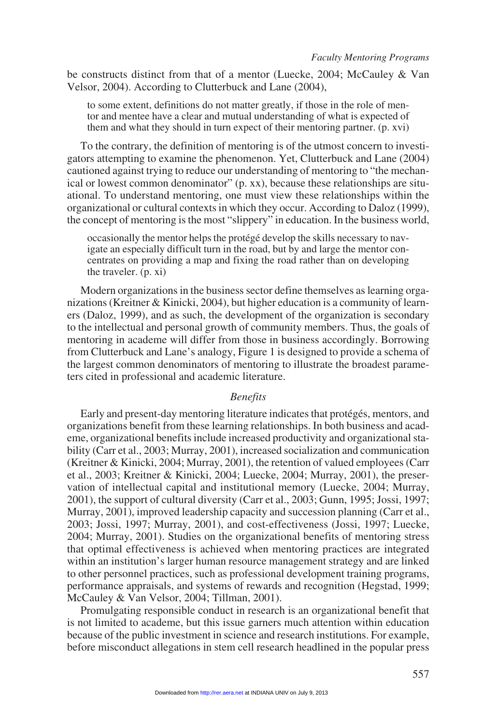be constructs distinct from that of a mentor (Luecke, 2004; McCauley & Van Velsor, 2004). According to Clutterbuck and Lane (2004),

to some extent, definitions do not matter greatly, if those in the role of mentor and mentee have a clear and mutual understanding of what is expected of them and what they should in turn expect of their mentoring partner. (p. xvi)

To the contrary, the definition of mentoring is of the utmost concern to investigators attempting to examine the phenomenon. Yet, Clutterbuck and Lane (2004) cautioned against trying to reduce our understanding of mentoring to "the mechanical or lowest common denominator" (p. xx), because these relationships are situational. To understand mentoring, one must view these relationships within the organizational or cultural contexts in which they occur. According to Daloz (1999), the concept of mentoring is the most "slippery" in education. In the business world,

occasionally the mentor helps the protégé develop the skills necessary to navigate an especially difficult turn in the road, but by and large the mentor concentrates on providing a map and fixing the road rather than on developing the traveler.  $(p, x_i)$ 

Modern organizations in the business sector define themselves as learning organizations (Kreitner & Kinicki, 2004), but higher education is a community of learners (Daloz, 1999), and as such, the development of the organization is secondary to the intellectual and personal growth of community members. Thus, the goals of mentoring in academe will differ from those in business accordingly. Borrowing from Clutterbuck and Lane's analogy, Figure 1 is designed to provide a schema of the largest common denominators of mentoring to illustrate the broadest parameters cited in professional and academic literature.

### *Benefits*

Early and present-day mentoring literature indicates that protégés, mentors, and organizations benefit from these learning relationships. In both business and academe, organizational benefits include increased productivity and organizational stability (Carr et al., 2003; Murray, 2001), increased socialization and communication (Kreitner & Kinicki, 2004; Murray, 2001), the retention of valued employees (Carr et al., 2003; Kreitner & Kinicki, 2004; Luecke, 2004; Murray, 2001), the preservation of intellectual capital and institutional memory (Luecke, 2004; Murray, 2001), the support of cultural diversity (Carr et al., 2003; Gunn, 1995; Jossi, 1997; Murray, 2001), improved leadership capacity and succession planning (Carr et al., 2003; Jossi, 1997; Murray, 2001), and cost-effectiveness (Jossi, 1997; Luecke, 2004; Murray, 2001). Studies on the organizational benefits of mentoring stress that optimal effectiveness is achieved when mentoring practices are integrated within an institution's larger human resource management strategy and are linked to other personnel practices, such as professional development training programs, performance appraisals, and systems of rewards and recognition (Hegstad, 1999; McCauley & Van Velsor, 2004; Tillman, 2001).

Promulgating responsible conduct in research is an organizational benefit that is not limited to academe, but this issue garners much attention within education because of the public investment in science and research institutions. For example, before misconduct allegations in stem cell research headlined in the popular press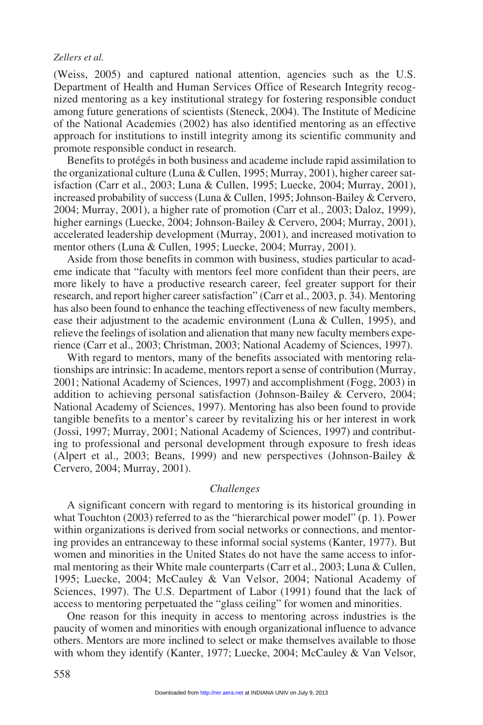(Weiss, 2005) and captured national attention, agencies such as the U.S. Department of Health and Human Services Office of Research Integrity recognized mentoring as a key institutional strategy for fostering responsible conduct among future generations of scientists (Steneck, 2004). The Institute of Medicine of the National Academies (2002) has also identified mentoring as an effective approach for institutions to instill integrity among its scientific community and promote responsible conduct in research.

Benefits to protégés in both business and academe include rapid assimilation to the organizational culture (Luna & Cullen, 1995; Murray, 2001), higher career satisfaction (Carr et al., 2003; Luna & Cullen, 1995; Luecke, 2004; Murray, 2001), increased probability of success (Luna & Cullen, 1995; Johnson-Bailey & Cervero, 2004; Murray, 2001), a higher rate of promotion (Carr et al., 2003; Daloz, 1999), higher earnings (Luecke, 2004; Johnson-Bailey & Cervero, 2004; Murray, 2001), accelerated leadership development (Murray, 2001), and increased motivation to mentor others (Luna & Cullen, 1995; Luecke, 2004; Murray, 2001).

Aside from those benefits in common with business, studies particular to academe indicate that "faculty with mentors feel more confident than their peers, are more likely to have a productive research career, feel greater support for their research, and report higher career satisfaction" (Carr et al., 2003, p. 34). Mentoring has also been found to enhance the teaching effectiveness of new faculty members, ease their adjustment to the academic environment (Luna & Cullen, 1995), and relieve the feelings of isolation and alienation that many new faculty members experience (Carr et al., 2003; Christman, 2003; National Academy of Sciences, 1997).

With regard to mentors, many of the benefits associated with mentoring relationships are intrinsic: In academe, mentors report a sense of contribution (Murray, 2001; National Academy of Sciences, 1997) and accomplishment (Fogg, 2003) in addition to achieving personal satisfaction (Johnson-Bailey & Cervero, 2004; National Academy of Sciences, 1997). Mentoring has also been found to provide tangible benefits to a mentor's career by revitalizing his or her interest in work (Jossi, 1997; Murray, 2001; National Academy of Sciences, 1997) and contributing to professional and personal development through exposure to fresh ideas (Alpert et al., 2003; Beans, 1999) and new perspectives (Johnson-Bailey & Cervero, 2004; Murray, 2001).

## *Challenges*

A significant concern with regard to mentoring is its historical grounding in what Touchton (2003) referred to as the "hierarchical power model" (p. 1). Power within organizations is derived from social networks or connections, and mentoring provides an entranceway to these informal social systems (Kanter, 1977). But women and minorities in the United States do not have the same access to informal mentoring as their White male counterparts (Carr et al., 2003; Luna & Cullen, 1995; Luecke, 2004; McCauley & Van Velsor, 2004; National Academy of Sciences, 1997). The U.S. Department of Labor (1991) found that the lack of access to mentoring perpetuated the "glass ceiling" for women and minorities.

One reason for this inequity in access to mentoring across industries is the paucity of women and minorities with enough organizational influence to advance others. Mentors are more inclined to select or make themselves available to those with whom they identify (Kanter, 1977; Luecke, 2004; McCauley & Van Velsor,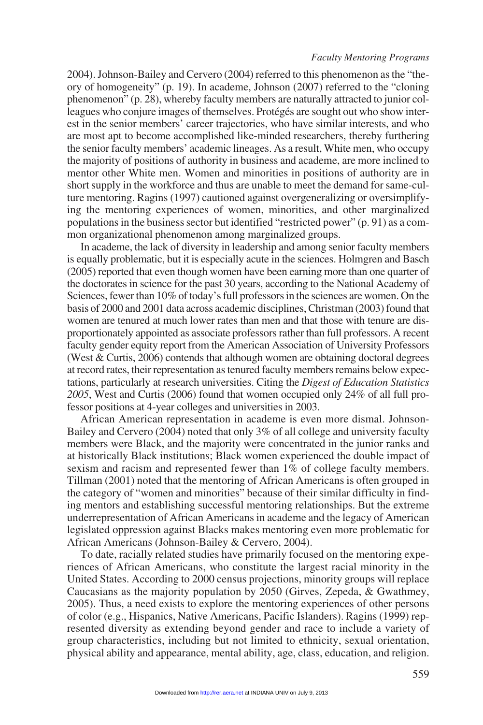2004). Johnson-Bailey and Cervero (2004) referred to this phenomenon as the "theory of homogeneity" (p. 19). In academe, Johnson (2007) referred to the "cloning phenomenon" (p. 28), whereby faculty members are naturally attracted to junior colleagues who conjure images of themselves. Protégés are sought out who show interest in the senior members' career trajectories, who have similar interests, and who are most apt to become accomplished like-minded researchers, thereby furthering the senior faculty members' academic lineages. As a result, White men, who occupy the majority of positions of authority in business and academe, are more inclined to mentor other White men. Women and minorities in positions of authority are in short supply in the workforce and thus are unable to meet the demand for same-culture mentoring. Ragins (1997) cautioned against overgeneralizing or oversimplifying the mentoring experiences of women, minorities, and other marginalized populations in the business sector but identified "restricted power" (p. 91) as a common organizational phenomenon among marginalized groups.

In academe, the lack of diversity in leadership and among senior faculty members is equally problematic, but it is especially acute in the sciences. Holmgren and Basch (2005) reported that even though women have been earning more than one quarter of the doctorates in science for the past 30 years, according to the National Academy of Sciences, fewer than 10% of today's full professors in the sciences are women. On the basis of 2000 and 2001 data across academic disciplines, Christman (2003) found that women are tenured at much lower rates than men and that those with tenure are disproportionately appointed as associate professors rather than full professors. A recent faculty gender equity report from the American Association of University Professors (West & Curtis, 2006) contends that although women are obtaining doctoral degrees at record rates, their representation as tenured faculty members remains below expectations, particularly at research universities. Citing the *Digest of Education Statistics 2005*, West and Curtis (2006) found that women occupied only 24% of all full professor positions at 4-year colleges and universities in 2003.

African American representation in academe is even more dismal. Johnson-Bailey and Cervero (2004) noted that only 3% of all college and university faculty members were Black, and the majority were concentrated in the junior ranks and at historically Black institutions; Black women experienced the double impact of sexism and racism and represented fewer than 1% of college faculty members. Tillman (2001) noted that the mentoring of African Americans is often grouped in the category of "women and minorities" because of their similar difficulty in finding mentors and establishing successful mentoring relationships. But the extreme underrepresentation of African Americans in academe and the legacy of American legislated oppression against Blacks makes mentoring even more problematic for African Americans (Johnson-Bailey & Cervero, 2004).

To date, racially related studies have primarily focused on the mentoring experiences of African Americans, who constitute the largest racial minority in the United States. According to 2000 census projections, minority groups will replace Caucasians as the majority population by 2050 (Girves, Zepeda, & Gwathmey, 2005). Thus, a need exists to explore the mentoring experiences of other persons of color (e.g., Hispanics, Native Americans, Pacific Islanders). Ragins (1999) represented diversity as extending beyond gender and race to include a variety of group characteristics, including but not limited to ethnicity, sexual orientation, physical ability and appearance, mental ability, age, class, education, and religion.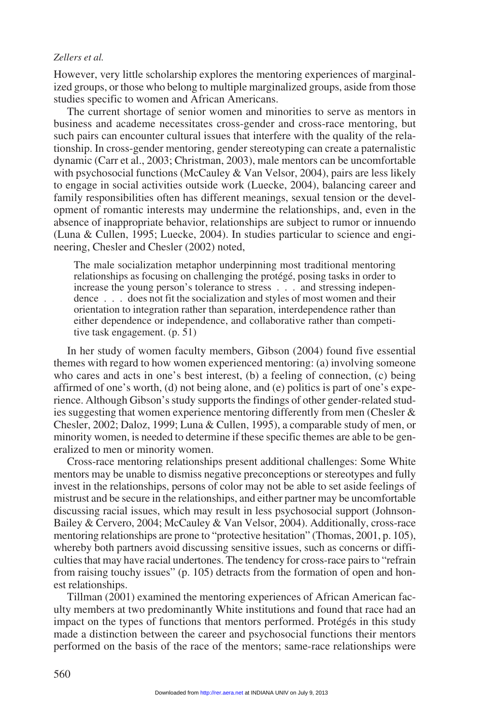However, very little scholarship explores the mentoring experiences of marginalized groups, or those who belong to multiple marginalized groups, aside from those studies specific to women and African Americans.

The current shortage of senior women and minorities to serve as mentors in business and academe necessitates cross-gender and cross-race mentoring, but such pairs can encounter cultural issues that interfere with the quality of the relationship. In cross-gender mentoring, gender stereotyping can create a paternalistic dynamic (Carr et al., 2003; Christman, 2003), male mentors can be uncomfortable with psychosocial functions (McCauley & Van Velsor, 2004), pairs are less likely to engage in social activities outside work (Luecke, 2004), balancing career and family responsibilities often has different meanings, sexual tension or the development of romantic interests may undermine the relationships, and, even in the absence of inappropriate behavior, relationships are subject to rumor or innuendo (Luna & Cullen, 1995; Luecke, 2004). In studies particular to science and engineering, Chesler and Chesler (2002) noted,

The male socialization metaphor underpinning most traditional mentoring relationships as focusing on challenging the protégé, posing tasks in order to increase the young person's tolerance to stress... and stressing independence... does not fit the socialization and styles of most women and their orientation to integration rather than separation, interdependence rather than either dependence or independence, and collaborative rather than competitive task engagement.  $(p, 51)$ 

In her study of women faculty members, Gibson (2004) found five essential themes with regard to how women experienced mentoring: (a) involving someone who cares and acts in one's best interest, (b) a feeling of connection, (c) being affirmed of one's worth, (d) not being alone, and (e) politics is part of one's experience. Although Gibson's study supports the findings of other gender-related studies suggesting that women experience mentoring differently from men (Chesler & Chesler, 2002; Daloz, 1999; Luna & Cullen, 1995), a comparable study of men, or minority women, is needed to determine if these specific themes are able to be generalized to men or minority women.

Cross-race mentoring relationships present additional challenges: Some White mentors may be unable to dismiss negative preconceptions or stereotypes and fully invest in the relationships, persons of color may not be able to set aside feelings of mistrust and be secure in the relationships, and either partner may be uncomfortable discussing racial issues, which may result in less psychosocial support (Johnson-Bailey & Cervero, 2004; McCauley & Van Velsor, 2004). Additionally, cross-race mentoring relationships are prone to "protective hesitation" (Thomas, 2001, p. 105), whereby both partners avoid discussing sensitive issues, such as concerns or difficulties that may have racial undertones. The tendency for cross-race pairs to "refrain from raising touchy issues" (p. 105) detracts from the formation of open and honest relationships.

Tillman (2001) examined the mentoring experiences of African American faculty members at two predominantly White institutions and found that race had an impact on the types of functions that mentors performed. Protégés in this study made a distinction between the career and psychosocial functions their mentors performed on the basis of the race of the mentors; same-race relationships were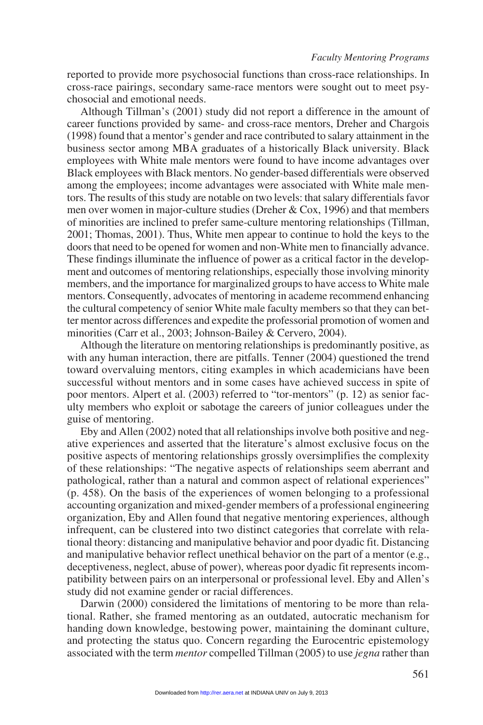reported to provide more psychosocial functions than cross-race relationships. In cross-race pairings, secondary same-race mentors were sought out to meet psychosocial and emotional needs.

Although Tillman's (2001) study did not report a difference in the amount of career functions provided by same- and cross-race mentors, Dreher and Chargois (1998) found that a mentor's gender and race contributed to salary attainment in the business sector among MBA graduates of a historically Black university. Black employees with White male mentors were found to have income advantages over Black employees with Black mentors. No gender-based differentials were observed among the employees; income advantages were associated with White male mentors. The results of this study are notable on two levels: that salary differentials favor men over women in major-culture studies (Dreher  $& Cox, 1996$ ) and that members of minorities are inclined to prefer same-culture mentoring relationships (Tillman, 2001; Thomas, 2001). Thus, White men appear to continue to hold the keys to the doors that need to be opened for women and non-White men to financially advance. These findings illuminate the influence of power as a critical factor in the development and outcomes of mentoring relationships, especially those involving minority members, and the importance for marginalized groups to have access to White male mentors. Consequently, advocates of mentoring in academe recommend enhancing the cultural competency of senior White male faculty members so that they can better mentor across differences and expedite the professorial promotion of women and minorities (Carr et al., 2003; Johnson-Bailey & Cervero, 2004).

Although the literature on mentoring relationships is predominantly positive, as with any human interaction, there are pitfalls. Tenner (2004) questioned the trend toward overvaluing mentors, citing examples in which academicians have been successful without mentors and in some cases have achieved success in spite of poor mentors. Alpert et al. (2003) referred to "tor-mentors" (p. 12) as senior faculty members who exploit or sabotage the careers of junior colleagues under the guise of mentoring.

Eby and Allen (2002) noted that all relationships involve both positive and negative experiences and asserted that the literature's almost exclusive focus on the positive aspects of mentoring relationships grossly oversimplifies the complexity of these relationships: "The negative aspects of relationships seem aberrant and pathological, rather than a natural and common aspect of relational experiences" (p. 458). On the basis of the experiences of women belonging to a professional accounting organization and mixed-gender members of a professional engineering organization, Eby and Allen found that negative mentoring experiences, although infrequent, can be clustered into two distinct categories that correlate with relational theory: distancing and manipulative behavior and poor dyadic fit. Distancing and manipulative behavior reflect unethical behavior on the part of a mentor (e.g., deceptiveness, neglect, abuse of power), whereas poor dyadic fit represents incompatibility between pairs on an interpersonal or professional level. Eby and Allen's study did not examine gender or racial differences.

Darwin (2000) considered the limitations of mentoring to be more than relational. Rather, she framed mentoring as an outdated, autocratic mechanism for handing down knowledge, bestowing power, maintaining the dominant culture, and protecting the status quo. Concern regarding the Eurocentric epistemology associated with the term *mentor* compelled Tillman (2005) to use *jegna* rather than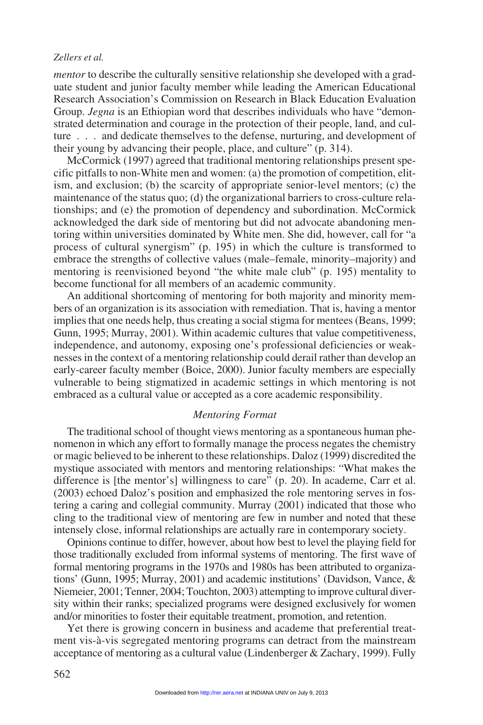*mentor* to describe the culturally sensitive relationship she developed with a graduate student and junior faculty member while leading the American Educational Research Association's Commission on Research in Black Education Evaluation Group. *Jegna* is an Ethiopian word that describes individuals who have "demonstrated determination and courage in the protection of their people, land, and culture . . . and dedicate themselves to the defense, nurturing, and development of their young by advancing their people, place, and culture" (p. 314).

McCormick (1997) agreed that traditional mentoring relationships present specific pitfalls to non-White men and women: (a) the promotion of competition, elitism, and exclusion; (b) the scarcity of appropriate senior-level mentors; (c) the maintenance of the status quo; (d) the organizational barriers to cross-culture relationships; and (e) the promotion of dependency and subordination. McCormick acknowledged the dark side of mentoring but did not advocate abandoning mentoring within universities dominated by White men. She did, however, call for "a process of cultural synergism" (p. 195) in which the culture is transformed to embrace the strengths of collective values (male–female, minority–majority) and mentoring is reenvisioned beyond "the white male club" (p. 195) mentality to become functional for all members of an academic community.

An additional shortcoming of mentoring for both majority and minority members of an organization is its association with remediation. That is, having a mentor implies that one needs help, thus creating a social stigma for mentees (Beans, 1999; Gunn, 1995; Murray, 2001). Within academic cultures that value competitiveness, independence, and autonomy, exposing one's professional deficiencies or weaknesses in the context of a mentoring relationship could derail rather than develop an early-career faculty member (Boice, 2000). Junior faculty members are especially vulnerable to being stigmatized in academic settings in which mentoring is not embraced as a cultural value or accepted as a core academic responsibility.

## *Mentoring Format*

The traditional school of thought views mentoring as a spontaneous human phenomenon in which any effort to formally manage the process negates the chemistry or magic believed to be inherent to these relationships. Daloz (1999) discredited the mystique associated with mentors and mentoring relationships: "What makes the difference is [the mentor's] willingness to care" (p. 20). In academe, Carr et al. (2003) echoed Daloz's position and emphasized the role mentoring serves in fostering a caring and collegial community. Murray (2001) indicated that those who cling to the traditional view of mentoring are few in number and noted that these intensely close, informal relationships are actually rare in contemporary society.

Opinions continue to differ, however, about how best to level the playing field for those traditionally excluded from informal systems of mentoring. The first wave of formal mentoring programs in the 1970s and 1980s has been attributed to organizations' (Gunn, 1995; Murray, 2001) and academic institutions' (Davidson, Vance, & Niemeier, 2001; Tenner, 2004; Touchton, 2003) attempting to improve cultural diversity within their ranks; specialized programs were designed exclusively for women and/or minorities to foster their equitable treatment, promotion, and retention.

Yet there is growing concern in business and academe that preferential treatment vis-à-vis segregated mentoring programs can detract from the mainstream acceptance of mentoring as a cultural value (Lindenberger & Zachary, 1999). Fully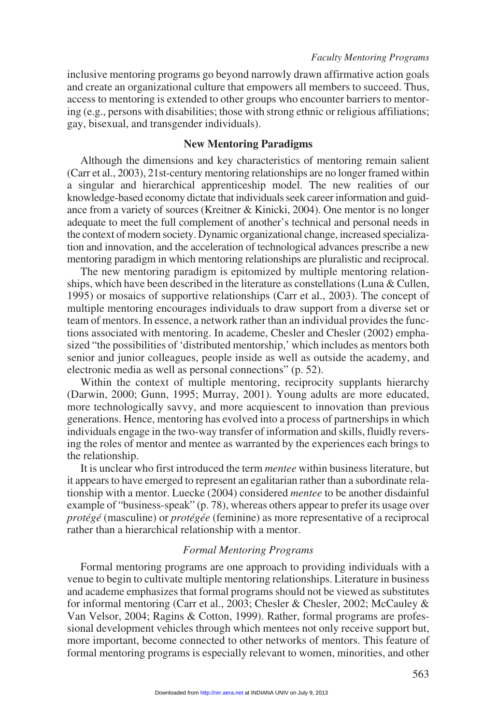inclusive mentoring programs go beyond narrowly drawn affirmative action goals and create an organizational culture that empowers all members to succeed. Thus, access to mentoring is extended to other groups who encounter barriers to mentoring (e.g., persons with disabilities; those with strong ethnic or religious affiliations; gay, bisexual, and transgender individuals).

## **New Mentoring Paradigms**

Although the dimensions and key characteristics of mentoring remain salient (Carr et al., 2003), 21st-century mentoring relationships are no longer framed within a singular and hierarchical apprenticeship model. The new realities of our knowledge-based economy dictate that individuals seek career information and guidance from a variety of sources (Kreitner & Kinicki, 2004). One mentor is no longer adequate to meet the full complement of another's technical and personal needs in the context of modern society. Dynamic organizational change, increased specialization and innovation, and the acceleration of technological advances prescribe a new mentoring paradigm in which mentoring relationships are pluralistic and reciprocal.

The new mentoring paradigm is epitomized by multiple mentoring relationships, which have been described in the literature as constellations (Luna & Cullen, 1995) or mosaics of supportive relationships (Carr et al., 2003). The concept of multiple mentoring encourages individuals to draw support from a diverse set or team of mentors. In essence, a network rather than an individual provides the functions associated with mentoring. In academe, Chesler and Chesler (2002) emphasized "the possibilities of 'distributed mentorship,' which includes as mentors both senior and junior colleagues, people inside as well as outside the academy, and electronic media as well as personal connections" (p. 52).

Within the context of multiple mentoring, reciprocity supplants hierarchy (Darwin, 2000; Gunn, 1995; Murray, 2001). Young adults are more educated, more technologically savvy, and more acquiescent to innovation than previous generations. Hence, mentoring has evolved into a process of partnerships in which individuals engage in the two-way transfer of information and skills, fluidly reversing the roles of mentor and mentee as warranted by the experiences each brings to the relationship.

It is unclear who first introduced the term *mentee* within business literature, but it appears to have emerged to represent an egalitarian rather than a subordinate relationship with a mentor. Luecke (2004) considered *mentee* to be another disdainful example of "business-speak" (p. 78), whereas others appear to prefer its usage over *protégé* (masculine) or *protégée* (feminine) as more representative of a reciprocal rather than a hierarchical relationship with a mentor.

## *Formal Mentoring Programs*

Formal mentoring programs are one approach to providing individuals with a venue to begin to cultivate multiple mentoring relationships. Literature in business and academe emphasizes that formal programs should not be viewed as substitutes for informal mentoring (Carr et al., 2003; Chesler & Chesler, 2002; McCauley & Van Velsor, 2004; Ragins & Cotton, 1999). Rather, formal programs are professional development vehicles through which mentees not only receive support but, more important, become connected to other networks of mentors. This feature of formal mentoring programs is especially relevant to women, minorities, and other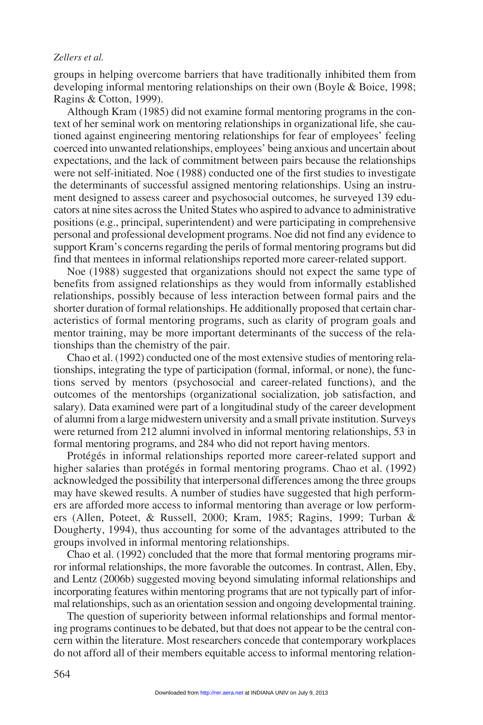groups in helping overcome barriers that have traditionally inhibited them from developing informal mentoring relationships on their own (Boyle & Boice, 1998; Ragins & Cotton, 1999).

Although Kram (1985) did not examine formal mentoring programs in the context of her seminal work on mentoring relationships in organizational life, she cautioned against engineering mentoring relationships for fear of employees' feeling coerced into unwanted relationships, employees' being anxious and uncertain about expectations, and the lack of commitment between pairs because the relationships were not self-initiated. Noe (1988) conducted one of the first studies to investigate the determinants of successful assigned mentoring relationships. Using an instrument designed to assess career and psychosocial outcomes, he surveyed 139 educators at nine sites across the United States who aspired to advance to administrative positions (e.g., principal, superintendent) and were participating in comprehensive personal and professional development programs. Noe did not find any evidence to support Kram's concerns regarding the perils of formal mentoring programs but did find that mentees in informal relationships reported more career-related support.

Noe (1988) suggested that organizations should not expect the same type of benefits from assigned relationships as they would from informally established relationships, possibly because of less interaction between formal pairs and the shorter duration of formal relationships. He additionally proposed that certain characteristics of formal mentoring programs, such as clarity of program goals and mentor training, may be more important determinants of the success of the relationships than the chemistry of the pair.

Chao et al. (1992) conducted one of the most extensive studies of mentoring relationships, integrating the type of participation (formal, informal, or none), the functions served by mentors (psychosocial and career-related functions), and the outcomes of the mentorships (organizational socialization, job satisfaction, and salary). Data examined were part of a longitudinal study of the career development of alumni from a large midwestern university and a small private institution. Surveys were returned from 212 alumni involved in informal mentoring relationships, 53 in formal mentoring programs, and 284 who did not report having mentors.

Protégés in informal relationships reported more career-related support and higher salaries than protégés in formal mentoring programs. Chao et al. (1992) acknowledged the possibility that interpersonal differences among the three groups may have skewed results. A number of studies have suggested that high performers are afforded more access to informal mentoring than average or low performers (Allen, Poteet, & Russell, 2000; Kram, 1985; Ragins, 1999; Turban & Dougherty, 1994), thus accounting for some of the advantages attributed to the groups involved in informal mentoring relationships.

Chao et al. (1992) concluded that the more that formal mentoring programs mirror informal relationships, the more favorable the outcomes. In contrast, Allen, Eby, and Lentz (2006b) suggested moving beyond simulating informal relationships and incorporating features within mentoring programs that are not typically part of informal relationships, such as an orientation session and ongoing developmental training.

The question of superiority between informal relationships and formal mentoring programs continues to be debated, but that does not appear to be the central concern within the literature. Most researchers concede that contemporary workplaces do not afford all of their members equitable access to informal mentoring relation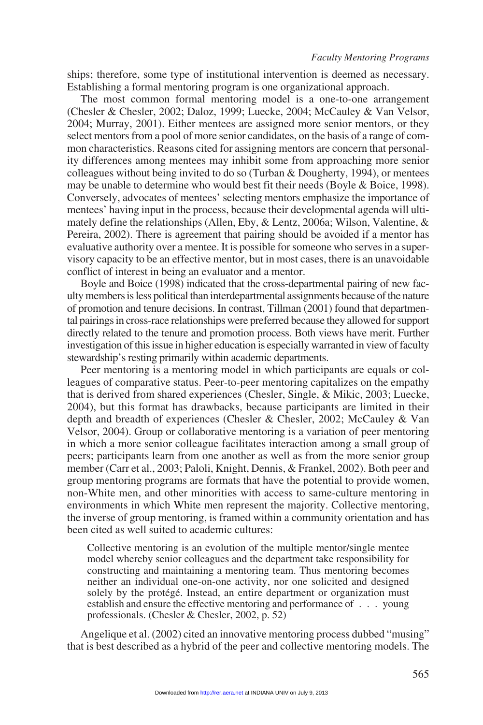ships; therefore, some type of institutional intervention is deemed as necessary. Establishing a formal mentoring program is one organizational approach.

The most common formal mentoring model is a one-to-one arrangement (Chesler & Chesler, 2002; Daloz, 1999; Luecke, 2004; McCauley & Van Velsor, 2004; Murray, 2001). Either mentees are assigned more senior mentors, or they select mentors from a pool of more senior candidates, on the basis of a range of common characteristics. Reasons cited for assigning mentors are concern that personality differences among mentees may inhibit some from approaching more senior colleagues without being invited to do so (Turban  $&$  Dougherty, 1994), or mentees may be unable to determine who would best fit their needs (Boyle & Boice, 1998). Conversely, advocates of mentees' selecting mentors emphasize the importance of mentees' having input in the process, because their developmental agenda will ultimately define the relationships (Allen, Eby, & Lentz, 2006a; Wilson, Valentine, & Pereira, 2002). There is agreement that pairing should be avoided if a mentor has evaluative authority over a mentee. It is possible for someone who serves in a supervisory capacity to be an effective mentor, but in most cases, there is an unavoidable conflict of interest in being an evaluator and a mentor.

Boyle and Boice (1998) indicated that the cross-departmental pairing of new faculty members is less political than interdepartmental assignments because of the nature of promotion and tenure decisions. In contrast, Tillman (2001) found that departmental pairings in cross-race relationships were preferred because they allowed for support directly related to the tenure and promotion process. Both views have merit. Further investigation of this issue in higher education is especially warranted in view of faculty stewardship's resting primarily within academic departments.

Peer mentoring is a mentoring model in which participants are equals or colleagues of comparative status. Peer-to-peer mentoring capitalizes on the empathy that is derived from shared experiences (Chesler, Single, & Mikic, 2003; Luecke, 2004), but this format has drawbacks, because participants are limited in their depth and breadth of experiences (Chesler & Chesler, 2002; McCauley & Van Velsor, 2004). Group or collaborative mentoring is a variation of peer mentoring in which a more senior colleague facilitates interaction among a small group of peers; participants learn from one another as well as from the more senior group member (Carr et al., 2003; Paloli, Knight, Dennis, & Frankel, 2002). Both peer and group mentoring programs are formats that have the potential to provide women, non-White men, and other minorities with access to same-culture mentoring in environments in which White men represent the majority. Collective mentoring, the inverse of group mentoring, is framed within a community orientation and has been cited as well suited to academic cultures:

Collective mentoring is an evolution of the multiple mentor/single mentee model whereby senior colleagues and the department take responsibility for constructing and maintaining a mentoring team. Thus mentoring becomes neither an individual one-on-one activity, nor one solicited and designed solely by the protégé. Instead, an entire department or organization must establish and ensure the effective mentoring and performance of . . . young professionals. (Chesler & Chesler, 2002, p. 52)

Angelique et al. (2002) cited an innovative mentoring process dubbed "musing" that is best described as a hybrid of the peer and collective mentoring models. The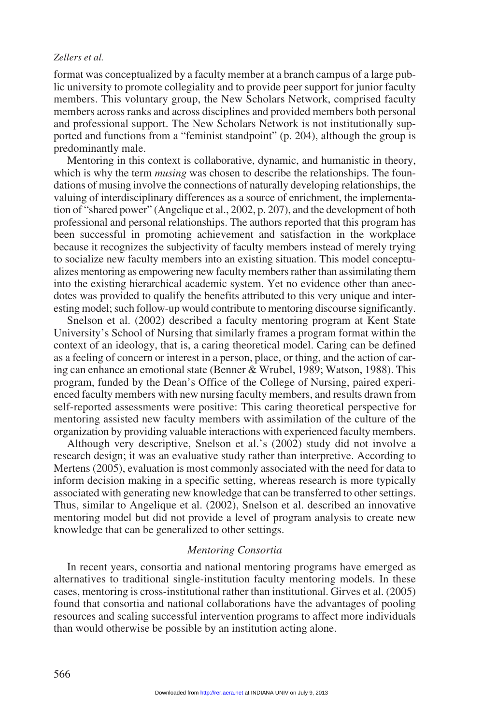format was conceptualized by a faculty member at a branch campus of a large public university to promote collegiality and to provide peer support for junior faculty members. This voluntary group, the New Scholars Network, comprised faculty members across ranks and across disciplines and provided members both personal and professional support. The New Scholars Network is not institutionally supported and functions from a "feminist standpoint" (p. 204), although the group is predominantly male.

Mentoring in this context is collaborative, dynamic, and humanistic in theory, which is why the term *musing* was chosen to describe the relationships. The foundations of musing involve the connections of naturally developing relationships, the valuing of interdisciplinary differences as a source of enrichment, the implementation of "shared power" (Angelique et al., 2002, p. 207), and the development of both professional and personal relationships. The authors reported that this program has been successful in promoting achievement and satisfaction in the workplace because it recognizes the subjectivity of faculty members instead of merely trying to socialize new faculty members into an existing situation. This model conceptualizes mentoring as empowering new faculty members rather than assimilating them into the existing hierarchical academic system. Yet no evidence other than anecdotes was provided to qualify the benefits attributed to this very unique and interesting model; such follow-up would contribute to mentoring discourse significantly.

Snelson et al. (2002) described a faculty mentoring program at Kent State University's School of Nursing that similarly frames a program format within the context of an ideology, that is, a caring theoretical model. Caring can be defined as a feeling of concern or interest in a person, place, or thing, and the action of caring can enhance an emotional state (Benner & Wrubel, 1989; Watson, 1988). This program, funded by the Dean's Office of the College of Nursing, paired experienced faculty members with new nursing faculty members, and results drawn from self-reported assessments were positive: This caring theoretical perspective for mentoring assisted new faculty members with assimilation of the culture of the organization by providing valuable interactions with experienced faculty members.

Although very descriptive, Snelson et al.'s (2002) study did not involve a research design; it was an evaluative study rather than interpretive. According to Mertens (2005), evaluation is most commonly associated with the need for data to inform decision making in a specific setting, whereas research is more typically associated with generating new knowledge that can be transferred to other settings. Thus, similar to Angelique et al. (2002), Snelson et al. described an innovative mentoring model but did not provide a level of program analysis to create new knowledge that can be generalized to other settings.

## *Mentoring Consortia*

In recent years, consortia and national mentoring programs have emerged as alternatives to traditional single-institution faculty mentoring models. In these cases, mentoring is cross-institutional rather than institutional. Girves et al. (2005) found that consortia and national collaborations have the advantages of pooling resources and scaling successful intervention programs to affect more individuals than would otherwise be possible by an institution acting alone.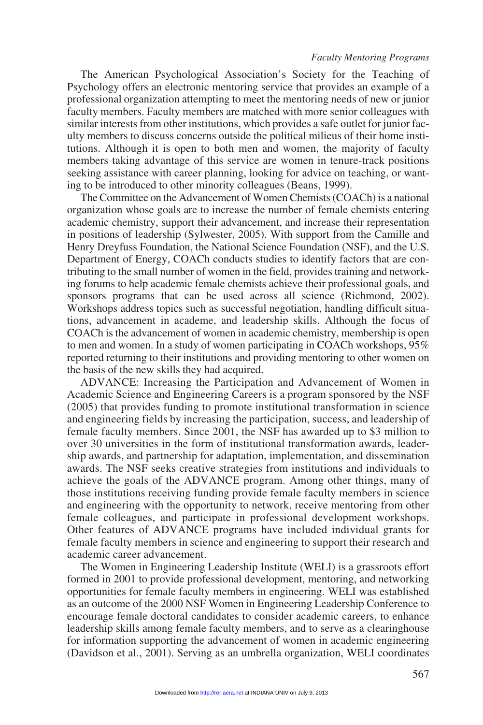The American Psychological Association's Society for the Teaching of Psychology offers an electronic mentoring service that provides an example of a professional organization attempting to meet the mentoring needs of new or junior faculty members. Faculty members are matched with more senior colleagues with similar interests from other institutions, which provides a safe outlet for junior faculty members to discuss concerns outside the political milieus of their home institutions. Although it is open to both men and women, the majority of faculty members taking advantage of this service are women in tenure-track positions seeking assistance with career planning, looking for advice on teaching, or wanting to be introduced to other minority colleagues (Beans, 1999).

The Committee on the Advancement of Women Chemists (COACh) is a national organization whose goals are to increase the number of female chemists entering academic chemistry, support their advancement, and increase their representation in positions of leadership (Sylwester, 2005). With support from the Camille and Henry Dreyfuss Foundation, the National Science Foundation (NSF), and the U.S. Department of Energy, COACh conducts studies to identify factors that are contributing to the small number of women in the field, provides training and networking forums to help academic female chemists achieve their professional goals, and sponsors programs that can be used across all science (Richmond, 2002). Workshops address topics such as successful negotiation, handling difficult situations, advancement in academe, and leadership skills. Although the focus of COACh is the advancement of women in academic chemistry, membership is open to men and women. In a study of women participating in COACh workshops, 95% reported returning to their institutions and providing mentoring to other women on the basis of the new skills they had acquired.

ADVANCE: Increasing the Participation and Advancement of Women in Academic Science and Engineering Careers is a program sponsored by the NSF (2005) that provides funding to promote institutional transformation in science and engineering fields by increasing the participation, success, and leadership of female faculty members. Since 2001, the NSF has awarded up to \$3 million to over 30 universities in the form of institutional transformation awards, leadership awards, and partnership for adaptation, implementation, and dissemination awards. The NSF seeks creative strategies from institutions and individuals to achieve the goals of the ADVANCE program. Among other things, many of those institutions receiving funding provide female faculty members in science and engineering with the opportunity to network, receive mentoring from other female colleagues, and participate in professional development workshops. Other features of ADVANCE programs have included individual grants for female faculty members in science and engineering to support their research and academic career advancement.

The Women in Engineering Leadership Institute (WELI) is a grassroots effort formed in 2001 to provide professional development, mentoring, and networking opportunities for female faculty members in engineering. WELI was established as an outcome of the 2000 NSF Women in Engineering Leadership Conference to encourage female doctoral candidates to consider academic careers, to enhance leadership skills among female faculty members, and to serve as a clearinghouse for information supporting the advancement of women in academic engineering (Davidson et al., 2001). Serving as an umbrella organization, WELI coordinates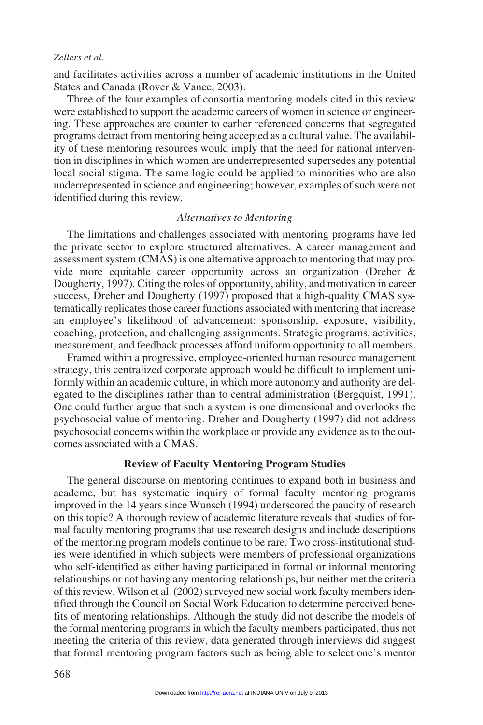and facilitates activities across a number of academic institutions in the United States and Canada (Rover & Vance, 2003).

Three of the four examples of consortia mentoring models cited in this review were established to support the academic careers of women in science or engineering. These approaches are counter to earlier referenced concerns that segregated programs detract from mentoring being accepted as a cultural value. The availability of these mentoring resources would imply that the need for national intervention in disciplines in which women are underrepresented supersedes any potential local social stigma. The same logic could be applied to minorities who are also underrepresented in science and engineering; however, examples of such were not identified during this review.

## *Alternatives to Mentoring*

The limitations and challenges associated with mentoring programs have led the private sector to explore structured alternatives. A career management and assessment system (CMAS) is one alternative approach to mentoring that may provide more equitable career opportunity across an organization (Dreher & Dougherty, 1997). Citing the roles of opportunity, ability, and motivation in career success, Dreher and Dougherty (1997) proposed that a high-quality CMAS systematically replicates those career functions associated with mentoring that increase an employee's likelihood of advancement: sponsorship, exposure, visibility, coaching, protection, and challenging assignments. Strategic programs, activities, measurement, and feedback processes afford uniform opportunity to all members.

Framed within a progressive, employee-oriented human resource management strategy, this centralized corporate approach would be difficult to implement uniformly within an academic culture, in which more autonomy and authority are delegated to the disciplines rather than to central administration (Bergquist, 1991). One could further argue that such a system is one dimensional and overlooks the psychosocial value of mentoring. Dreher and Dougherty (1997) did not address psychosocial concerns within the workplace or provide any evidence as to the outcomes associated with a CMAS.

## **Review of Faculty Mentoring Program Studies**

The general discourse on mentoring continues to expand both in business and academe, but has systematic inquiry of formal faculty mentoring programs improved in the 14 years since Wunsch (1994) underscored the paucity of research on this topic? A thorough review of academic literature reveals that studies of formal faculty mentoring programs that use research designs and include descriptions of the mentoring program models continue to be rare. Two cross-institutional studies were identified in which subjects were members of professional organizations who self-identified as either having participated in formal or informal mentoring relationships or not having any mentoring relationships, but neither met the criteria of this review. Wilson et al. (2002) surveyed new social work faculty members identified through the Council on Social Work Education to determine perceived benefits of mentoring relationships. Although the study did not describe the models of the formal mentoring programs in which the faculty members participated, thus not meeting the criteria of this review, data generated through interviews did suggest that formal mentoring program factors such as being able to select one's mentor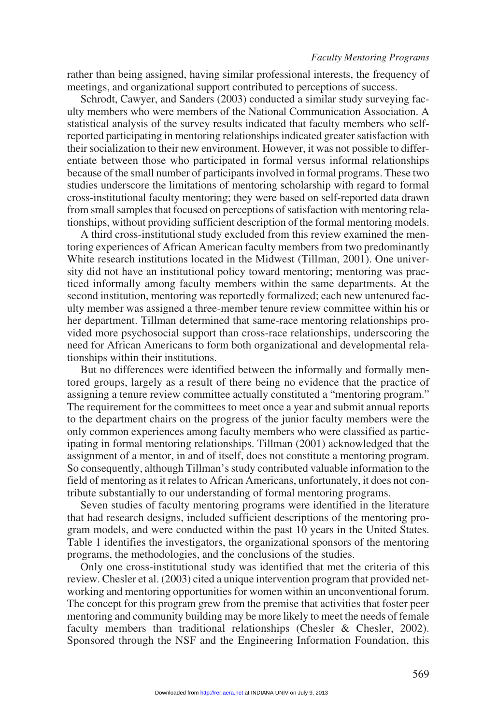rather than being assigned, having similar professional interests, the frequency of meetings, and organizational support contributed to perceptions of success.

Schrodt, Cawyer, and Sanders (2003) conducted a similar study surveying faculty members who were members of the National Communication Association. A statistical analysis of the survey results indicated that faculty members who selfreported participating in mentoring relationships indicated greater satisfaction with their socialization to their new environment. However, it was not possible to differentiate between those who participated in formal versus informal relationships because of the small number of participants involved in formal programs. These two studies underscore the limitations of mentoring scholarship with regard to formal cross-institutional faculty mentoring; they were based on self-reported data drawn from small samples that focused on perceptions of satisfaction with mentoring relationships, without providing sufficient description of the formal mentoring models.

A third cross-institutional study excluded from this review examined the mentoring experiences of African American faculty members from two predominantly White research institutions located in the Midwest (Tillman, 2001). One university did not have an institutional policy toward mentoring; mentoring was practiced informally among faculty members within the same departments. At the second institution, mentoring was reportedly formalized; each new untenured faculty member was assigned a three-member tenure review committee within his or her department. Tillman determined that same-race mentoring relationships provided more psychosocial support than cross-race relationships, underscoring the need for African Americans to form both organizational and developmental relationships within their institutions.

But no differences were identified between the informally and formally mentored groups, largely as a result of there being no evidence that the practice of assigning a tenure review committee actually constituted a "mentoring program." The requirement for the committees to meet once a year and submit annual reports to the department chairs on the progress of the junior faculty members were the only common experiences among faculty members who were classified as participating in formal mentoring relationships. Tillman (2001) acknowledged that the assignment of a mentor, in and of itself, does not constitute a mentoring program. So consequently, although Tillman's study contributed valuable information to the field of mentoring as it relates to African Americans, unfortunately, it does not contribute substantially to our understanding of formal mentoring programs.

Seven studies of faculty mentoring programs were identified in the literature that had research designs, included sufficient descriptions of the mentoring program models, and were conducted within the past 10 years in the United States. Table 1 identifies the investigators, the organizational sponsors of the mentoring programs, the methodologies, and the conclusions of the studies.

Only one cross-institutional study was identified that met the criteria of this review. Chesler et al. (2003) cited a unique intervention program that provided networking and mentoring opportunities for women within an unconventional forum. The concept for this program grew from the premise that activities that foster peer mentoring and community building may be more likely to meet the needs of female faculty members than traditional relationships (Chesler  $\&$  Chesler, 2002). Sponsored through the NSF and the Engineering Information Foundation, this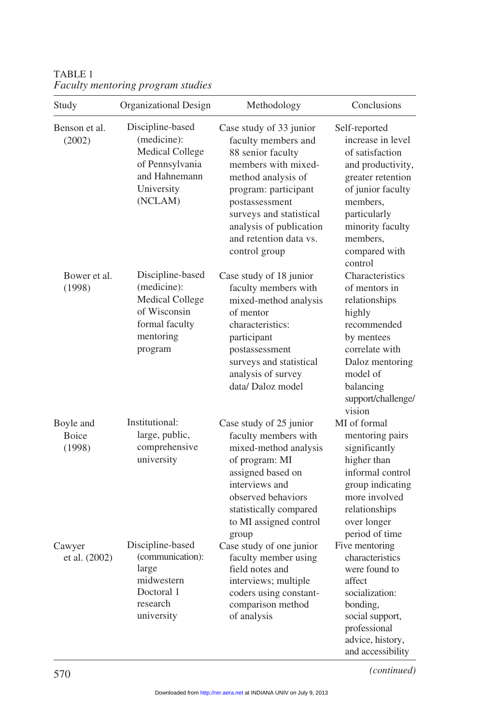| Study                               | Organizational Design                                                                                           | Methodology                                                                                                                                                                                                                                                 | Conclusions                                                                                                                                                                                                  |
|-------------------------------------|-----------------------------------------------------------------------------------------------------------------|-------------------------------------------------------------------------------------------------------------------------------------------------------------------------------------------------------------------------------------------------------------|--------------------------------------------------------------------------------------------------------------------------------------------------------------------------------------------------------------|
| Benson et al.<br>(2002)             | Discipline-based<br>(medicine):<br>Medical College<br>of Pennsylvania<br>and Hahnemann<br>University<br>(NCLAM) | Case study of 33 junior<br>faculty members and<br>88 senior faculty<br>members with mixed-<br>method analysis of<br>program: participant<br>postassessment<br>surveys and statistical<br>analysis of publication<br>and retention data vs.<br>control group | Self-reported<br>increase in level<br>of satisfaction<br>and productivity,<br>greater retention<br>of junior faculty<br>members,<br>particularly<br>minority faculty<br>members,<br>compared with<br>control |
| Bower et al.<br>(1998)              | Discipline-based<br>(medicine):<br>Medical College<br>of Wisconsin<br>formal faculty<br>mentoring<br>program    | Case study of 18 junior<br>faculty members with<br>mixed-method analysis<br>of mentor<br>characteristics:<br>participant<br>postassessment<br>surveys and statistical<br>analysis of survey<br>data/Daloz model                                             | Characteristics<br>of mentors in<br>relationships<br>highly<br>recommended<br>by mentees<br>correlate with<br>Daloz mentoring<br>model of<br>balancing<br>support/challenge/<br>vision                       |
| Boyle and<br><b>Boice</b><br>(1998) | Institutional:<br>large, public,<br>comprehensive<br>university                                                 | Case study of 25 junior<br>faculty members with<br>mixed-method analysis<br>of program: MI<br>assigned based on<br>interviews and<br>observed behaviors<br>statistically compared<br>to MI assigned control<br>group                                        | MI of formal<br>mentoring pairs<br>significantly<br>higher than<br>informal control<br>group indicating<br>more involved<br>relationships<br>over longer<br>period of time                                   |
| Cawyer<br>et al. (2002)             | Discipline-based<br>(communication):<br>large<br>midwestern<br>Doctoral 1<br>research<br>university             | Case study of one junior<br>faculty member using<br>field notes and<br>interviews; multiple<br>coders using constant-<br>comparison method<br>of analysis                                                                                                   | Five mentoring<br>characteristics<br>were found to<br>affect<br>socialization:<br>bonding,<br>social support,<br>professional<br>advice, history,<br>and accessibility                                       |

TABLE 1 *Faculty mentoring program studies*

*(continued)*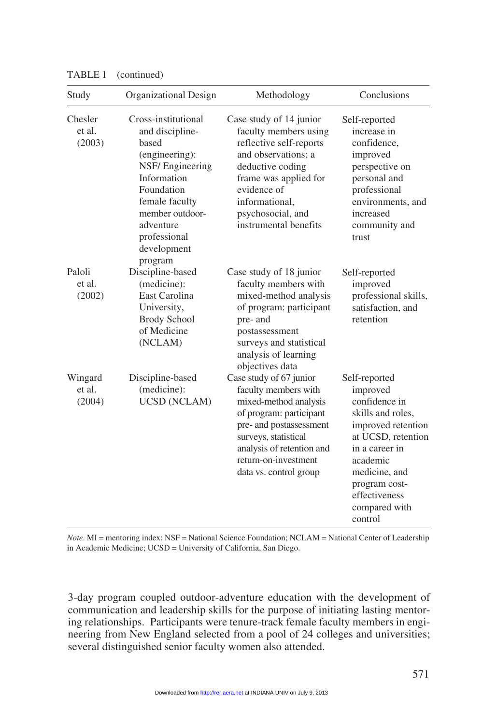| Study                       | Organizational Design                                                                                                                                                                                         | Methodology                                                                                                                                                                                                                           | Conclusions                                                                                                                                                                                                              |
|-----------------------------|---------------------------------------------------------------------------------------------------------------------------------------------------------------------------------------------------------------|---------------------------------------------------------------------------------------------------------------------------------------------------------------------------------------------------------------------------------------|--------------------------------------------------------------------------------------------------------------------------------------------------------------------------------------------------------------------------|
| Chesler<br>et al.<br>(2003) | Cross-institutional<br>and discipline-<br>based<br>(engineering):<br>NSF/Engineering<br>Information<br>Foundation<br>female faculty<br>member outdoor-<br>adventure<br>professional<br>development<br>program | Case study of 14 junior<br>faculty members using<br>reflective self-reports<br>and observations; a<br>deductive coding<br>frame was applied for<br>evidence of<br>informational.<br>psychosocial, and<br>instrumental benefits        | Self-reported<br>increase in<br>confidence.<br>improved<br>perspective on<br>personal and<br>professional<br>environments, and<br>increased<br>community and<br>trust                                                    |
| Paloli<br>et al.<br>(2002)  | Discipline-based<br>(medicine):<br>East Carolina<br>University,<br><b>Brody School</b><br>of Medicine<br>(NCLAM)                                                                                              | Case study of 18 junior<br>faculty members with<br>mixed-method analysis<br>of program: participant<br>pre- and<br>postassessment<br>surveys and statistical<br>analysis of learning<br>objectives data                               | Self-reported<br>improved<br>professional skills,<br>satisfaction, and<br>retention                                                                                                                                      |
| Wingard<br>et al.<br>(2004) | Discipline-based<br>(medicine):<br><b>UCSD</b> (NCLAM)                                                                                                                                                        | Case study of 67 junior<br>faculty members with<br>mixed-method analysis<br>of program: participant<br>pre- and postassessment<br>surveys, statistical<br>analysis of retention and<br>return-on-investment<br>data vs. control group | Self-reported<br>improved<br>confidence in<br>skills and roles,<br>improved retention<br>at UCSD, retention<br>in a career in<br>academic<br>medicine, and<br>program cost-<br>effectiveness<br>compared with<br>control |

TABLE 1 (continued)

*Note*. MI = mentoring index; NSF = National Science Foundation; NCLAM = National Center of Leadership in Academic Medicine; UCSD = University of California, San Diego.

3-day program coupled outdoor-adventure education with the development of communication and leadership skills for the purpose of initiating lasting mentoring relationships. Participants were tenure-track female faculty members in engineering from New England selected from a pool of 24 colleges and universities; several distinguished senior faculty women also attended.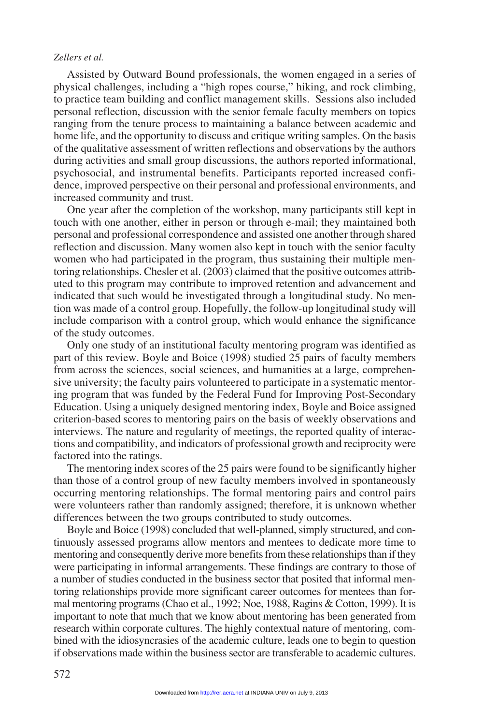Assisted by Outward Bound professionals, the women engaged in a series of physical challenges, including a "high ropes course," hiking, and rock climbing, to practice team building and conflict management skills. Sessions also included personal reflection, discussion with the senior female faculty members on topics ranging from the tenure process to maintaining a balance between academic and home life, and the opportunity to discuss and critique writing samples. On the basis of the qualitative assessment of written reflections and observations by the authors during activities and small group discussions, the authors reported informational, psychosocial, and instrumental benefits. Participants reported increased confidence, improved perspective on their personal and professional environments, and increased community and trust.

One year after the completion of the workshop, many participants still kept in touch with one another, either in person or through e-mail; they maintained both personal and professional correspondence and assisted one another through shared reflection and discussion. Many women also kept in touch with the senior faculty women who had participated in the program, thus sustaining their multiple mentoring relationships. Chesler et al. (2003) claimed that the positive outcomes attributed to this program may contribute to improved retention and advancement and indicated that such would be investigated through a longitudinal study. No mention was made of a control group. Hopefully, the follow-up longitudinal study will include comparison with a control group, which would enhance the significance of the study outcomes.

Only one study of an institutional faculty mentoring program was identified as part of this review. Boyle and Boice (1998) studied 25 pairs of faculty members from across the sciences, social sciences, and humanities at a large, comprehensive university; the faculty pairs volunteered to participate in a systematic mentoring program that was funded by the Federal Fund for Improving Post-Secondary Education. Using a uniquely designed mentoring index, Boyle and Boice assigned criterion-based scores to mentoring pairs on the basis of weekly observations and interviews. The nature and regularity of meetings, the reported quality of interactions and compatibility, and indicators of professional growth and reciprocity were factored into the ratings.

The mentoring index scores of the 25 pairs were found to be significantly higher than those of a control group of new faculty members involved in spontaneously occurring mentoring relationships. The formal mentoring pairs and control pairs were volunteers rather than randomly assigned; therefore, it is unknown whether differences between the two groups contributed to study outcomes.

Boyle and Boice (1998) concluded that well-planned, simply structured, and continuously assessed programs allow mentors and mentees to dedicate more time to mentoring and consequently derive more benefits from these relationships than if they were participating in informal arrangements. These findings are contrary to those of a number of studies conducted in the business sector that posited that informal mentoring relationships provide more significant career outcomes for mentees than formal mentoring programs (Chao et al., 1992; Noe, 1988, Ragins & Cotton, 1999). It is important to note that much that we know about mentoring has been generated from research within corporate cultures. The highly contextual nature of mentoring, combined with the idiosyncrasies of the academic culture, leads one to begin to question if observations made within the business sector are transferable to academic cultures.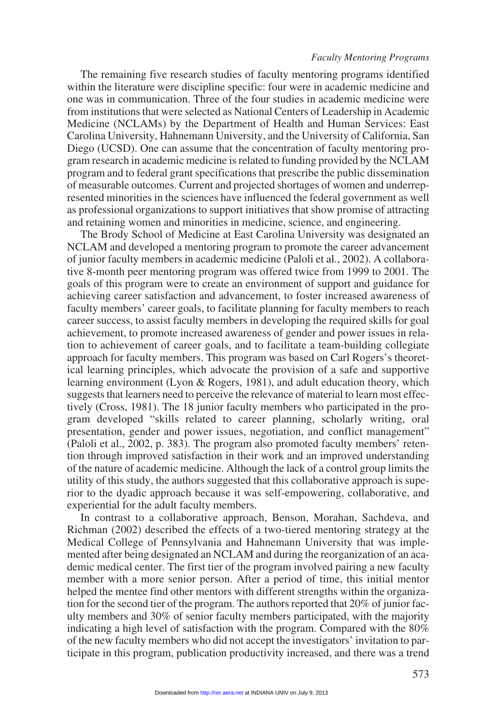#### *Faculty Mentoring Programs*

The remaining five research studies of faculty mentoring programs identified within the literature were discipline specific: four were in academic medicine and one was in communication. Three of the four studies in academic medicine were from institutions that were selected as National Centers of Leadership in Academic Medicine (NCLAMs) by the Department of Health and Human Services: East Carolina University, Hahnemann University, and the University of California, San Diego (UCSD). One can assume that the concentration of faculty mentoring program research in academic medicine is related to funding provided by the NCLAM program and to federal grant specifications that prescribe the public dissemination of measurable outcomes. Current and projected shortages of women and underrepresented minorities in the sciences have influenced the federal government as well as professional organizations to support initiatives that show promise of attracting and retaining women and minorities in medicine, science, and engineering.

The Brody School of Medicine at East Carolina University was designated an NCLAM and developed a mentoring program to promote the career advancement of junior faculty members in academic medicine (Paloli et al., 2002). A collaborative 8-month peer mentoring program was offered twice from 1999 to 2001. The goals of this program were to create an environment of support and guidance for achieving career satisfaction and advancement, to foster increased awareness of faculty members' career goals, to facilitate planning for faculty members to reach career success, to assist faculty members in developing the required skills for goal achievement, to promote increased awareness of gender and power issues in relation to achievement of career goals, and to facilitate a team-building collegiate approach for faculty members. This program was based on Carl Rogers's theoretical learning principles, which advocate the provision of a safe and supportive learning environment (Lyon & Rogers, 1981), and adult education theory, which suggests that learners need to perceive the relevance of material to learn most effectively (Cross, 1981). The 18 junior faculty members who participated in the program developed "skills related to career planning, scholarly writing, oral presentation, gender and power issues, negotiation, and conflict management" (Paloli et al., 2002, p. 383). The program also promoted faculty members' retention through improved satisfaction in their work and an improved understanding of the nature of academic medicine. Although the lack of a control group limits the utility of this study, the authors suggested that this collaborative approach is superior to the dyadic approach because it was self-empowering, collaborative, and experiential for the adult faculty members.

In contrast to a collaborative approach, Benson, Morahan, Sachdeva, and Richman (2002) described the effects of a two-tiered mentoring strategy at the Medical College of Pennsylvania and Hahnemann University that was implemented after being designated an NCLAM and during the reorganization of an academic medical center. The first tier of the program involved pairing a new faculty member with a more senior person. After a period of time, this initial mentor helped the mentee find other mentors with different strengths within the organization for the second tier of the program. The authors reported that 20% of junior faculty members and 30% of senior faculty members participated, with the majority indicating a high level of satisfaction with the program. Compared with the 80% of the new faculty members who did not accept the investigators' invitation to participate in this program, publication productivity increased, and there was a trend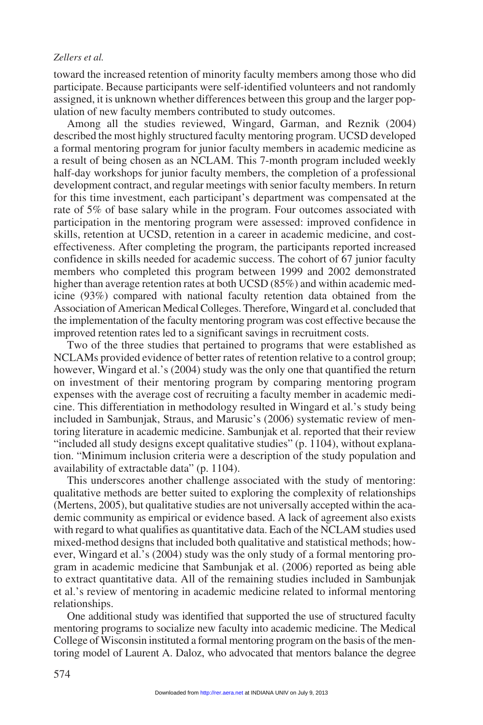toward the increased retention of minority faculty members among those who did participate. Because participants were self-identified volunteers and not randomly assigned, it is unknown whether differences between this group and the larger population of new faculty members contributed to study outcomes.

Among all the studies reviewed, Wingard, Garman, and Reznik (2004) described the most highly structured faculty mentoring program. UCSD developed a formal mentoring program for junior faculty members in academic medicine as a result of being chosen as an NCLAM. This 7-month program included weekly half-day workshops for junior faculty members, the completion of a professional development contract, and regular meetings with senior faculty members. In return for this time investment, each participant's department was compensated at the rate of 5% of base salary while in the program. Four outcomes associated with participation in the mentoring program were assessed: improved confidence in skills, retention at UCSD, retention in a career in academic medicine, and costeffectiveness. After completing the program, the participants reported increased confidence in skills needed for academic success. The cohort of 67 junior faculty members who completed this program between 1999 and 2002 demonstrated higher than average retention rates at both UCSD (85%) and within academic medicine (93%) compared with national faculty retention data obtained from the Association of American Medical Colleges. Therefore, Wingard et al. concluded that the implementation of the faculty mentoring program was cost effective because the improved retention rates led to a significant savings in recruitment costs.

Two of the three studies that pertained to programs that were established as NCLAMs provided evidence of better rates of retention relative to a control group; however, Wingard et al.'s (2004) study was the only one that quantified the return on investment of their mentoring program by comparing mentoring program expenses with the average cost of recruiting a faculty member in academic medicine. This differentiation in methodology resulted in Wingard et al.'s study being included in Sambunjak, Straus, and Marusic's (2006) systematic review of mentoring literature in academic medicine. Sambunjak et al. reported that their review "included all study designs except qualitative studies" (p. 1104), without explanation. "Minimum inclusion criteria were a description of the study population and availability of extractable data" (p. 1104).

This underscores another challenge associated with the study of mentoring: qualitative methods are better suited to exploring the complexity of relationships (Mertens, 2005), but qualitative studies are not universally accepted within the academic community as empirical or evidence based. A lack of agreement also exists with regard to what qualifies as quantitative data. Each of the NCLAM studies used mixed-method designs that included both qualitative and statistical methods; however, Wingard et al.'s (2004) study was the only study of a formal mentoring program in academic medicine that Sambunjak et al. (2006) reported as being able to extract quantitative data. All of the remaining studies included in Sambunjak et al.'s review of mentoring in academic medicine related to informal mentoring relationships.

One additional study was identified that supported the use of structured faculty mentoring programs to socialize new faculty into academic medicine. The Medical College of Wisconsin instituted a formal mentoring program on the basis of the mentoring model of Laurent A. Daloz, who advocated that mentors balance the degree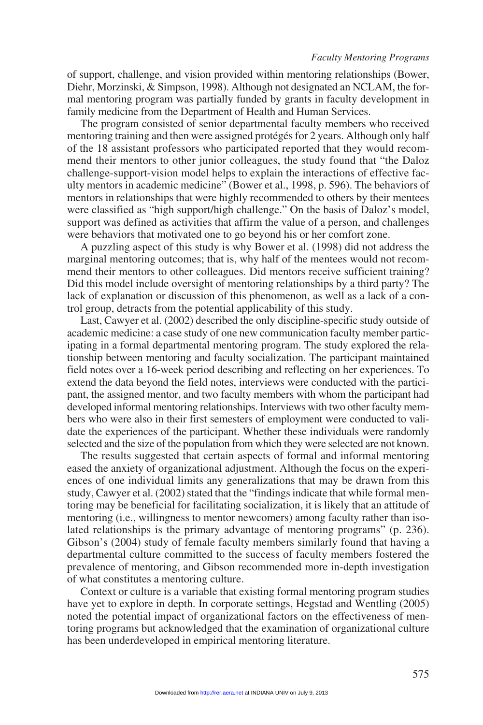of support, challenge, and vision provided within mentoring relationships (Bower, Diehr, Morzinski, & Simpson, 1998). Although not designated an NCLAM, the formal mentoring program was partially funded by grants in faculty development in family medicine from the Department of Health and Human Services.

The program consisted of senior departmental faculty members who received mentoring training and then were assigned protégés for 2 years. Although only half of the 18 assistant professors who participated reported that they would recommend their mentors to other junior colleagues, the study found that "the Daloz challenge-support-vision model helps to explain the interactions of effective faculty mentors in academic medicine" (Bower et al., 1998, p. 596). The behaviors of mentors in relationships that were highly recommended to others by their mentees were classified as "high support/high challenge." On the basis of Daloz's model, support was defined as activities that affirm the value of a person, and challenges were behaviors that motivated one to go beyond his or her comfort zone.

A puzzling aspect of this study is why Bower et al. (1998) did not address the marginal mentoring outcomes; that is, why half of the mentees would not recommend their mentors to other colleagues. Did mentors receive sufficient training? Did this model include oversight of mentoring relationships by a third party? The lack of explanation or discussion of this phenomenon, as well as a lack of a control group, detracts from the potential applicability of this study.

Last, Cawyer et al. (2002) described the only discipline-specific study outside of academic medicine: a case study of one new communication faculty member participating in a formal departmental mentoring program. The study explored the relationship between mentoring and faculty socialization. The participant maintained field notes over a 16-week period describing and reflecting on her experiences. To extend the data beyond the field notes, interviews were conducted with the participant, the assigned mentor, and two faculty members with whom the participant had developed informal mentoring relationships. Interviews with two other faculty members who were also in their first semesters of employment were conducted to validate the experiences of the participant. Whether these individuals were randomly selected and the size of the population from which they were selected are not known.

The results suggested that certain aspects of formal and informal mentoring eased the anxiety of organizational adjustment. Although the focus on the experiences of one individual limits any generalizations that may be drawn from this study, Cawyer et al. (2002) stated that the "findings indicate that while formal mentoring may be beneficial for facilitating socialization, it is likely that an attitude of mentoring (i.e., willingness to mentor newcomers) among faculty rather than isolated relationships is the primary advantage of mentoring programs" (p. 236). Gibson's (2004) study of female faculty members similarly found that having a departmental culture committed to the success of faculty members fostered the prevalence of mentoring, and Gibson recommended more in-depth investigation of what constitutes a mentoring culture.

Context or culture is a variable that existing formal mentoring program studies have yet to explore in depth. In corporate settings, Hegstad and Wentling (2005) noted the potential impact of organizational factors on the effectiveness of mentoring programs but acknowledged that the examination of organizational culture has been underdeveloped in empirical mentoring literature.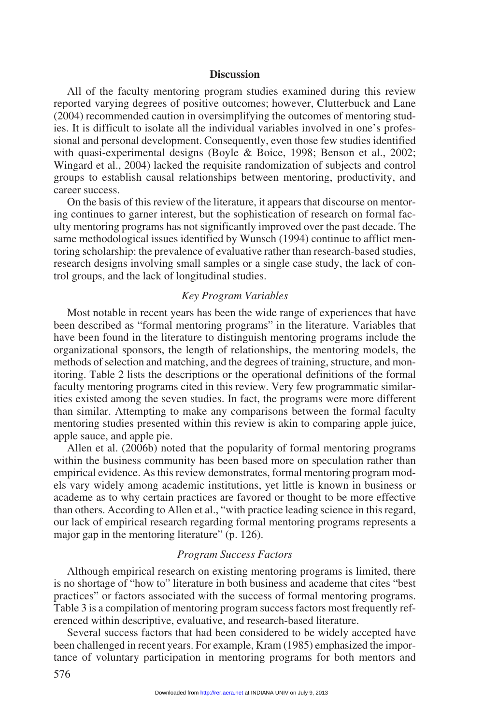## **Discussion**

All of the faculty mentoring program studies examined during this review reported varying degrees of positive outcomes; however, Clutterbuck and Lane (2004) recommended caution in oversimplifying the outcomes of mentoring studies. It is difficult to isolate all the individual variables involved in one's professional and personal development. Consequently, even those few studies identified with quasi-experimental designs (Boyle & Boice, 1998; Benson et al., 2002; Wingard et al., 2004) lacked the requisite randomization of subjects and control groups to establish causal relationships between mentoring, productivity, and career success.

On the basis of this review of the literature, it appears that discourse on mentoring continues to garner interest, but the sophistication of research on formal faculty mentoring programs has not significantly improved over the past decade. The same methodological issues identified by Wunsch (1994) continue to afflict mentoring scholarship: the prevalence of evaluative rather than research-based studies, research designs involving small samples or a single case study, the lack of control groups, and the lack of longitudinal studies.

## *Key Program Variables*

Most notable in recent years has been the wide range of experiences that have been described as "formal mentoring programs" in the literature. Variables that have been found in the literature to distinguish mentoring programs include the organizational sponsors, the length of relationships, the mentoring models, the methods of selection and matching, and the degrees of training, structure, and monitoring. Table 2 lists the descriptions or the operational definitions of the formal faculty mentoring programs cited in this review. Very few programmatic similarities existed among the seven studies. In fact, the programs were more different than similar. Attempting to make any comparisons between the formal faculty mentoring studies presented within this review is akin to comparing apple juice, apple sauce, and apple pie.

Allen et al. (2006b) noted that the popularity of formal mentoring programs within the business community has been based more on speculation rather than empirical evidence. As this review demonstrates, formal mentoring program models vary widely among academic institutions, yet little is known in business or academe as to why certain practices are favored or thought to be more effective than others. According to Allen et al., "with practice leading science in this regard, our lack of empirical research regarding formal mentoring programs represents a major gap in the mentoring literature" (p. 126).

## *Program Success Factors*

Although empirical research on existing mentoring programs is limited, there is no shortage of "how to" literature in both business and academe that cites "best practices" or factors associated with the success of formal mentoring programs. Table 3 is a compilation of mentoring program success factors most frequently referenced within descriptive, evaluative, and research-based literature.

Several success factors that had been considered to be widely accepted have been challenged in recent years. For example, Kram (1985) emphasized the importance of voluntary participation in mentoring programs for both mentors and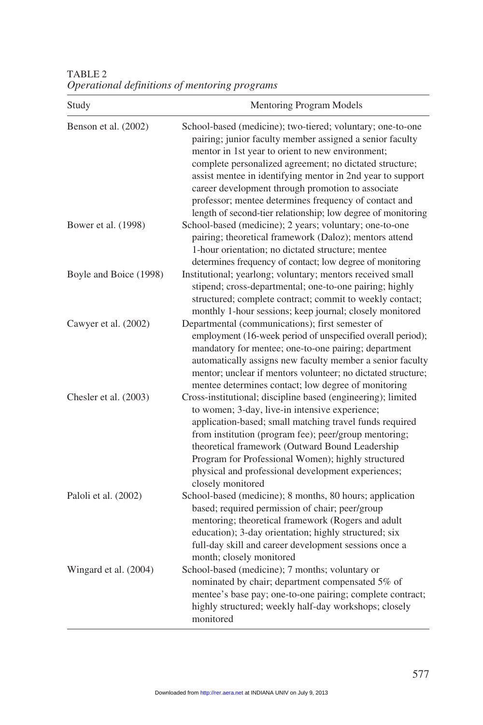| Study                  | Mentoring Program Models                                                                                                                                                                                                                                                                                                                                                                                                                                                          |
|------------------------|-----------------------------------------------------------------------------------------------------------------------------------------------------------------------------------------------------------------------------------------------------------------------------------------------------------------------------------------------------------------------------------------------------------------------------------------------------------------------------------|
| Benson et al. (2002)   | School-based (medicine); two-tiered; voluntary; one-to-one<br>pairing; junior faculty member assigned a senior faculty<br>mentor in 1st year to orient to new environment;<br>complete personalized agreement; no dictated structure;<br>assist mentee in identifying mentor in 2nd year to support<br>career development through promotion to associate<br>professor; mentee determines frequency of contact and<br>length of second-tier relationship; low degree of monitoring |
| Bower et al. (1998)    | School-based (medicine); 2 years; voluntary; one-to-one<br>pairing; theoretical framework (Daloz); mentors attend<br>1-hour orientation; no dictated structure; mentee<br>determines frequency of contact; low degree of monitoring                                                                                                                                                                                                                                               |
| Boyle and Boice (1998) | Institutional; yearlong; voluntary; mentors received small<br>stipend; cross-departmental; one-to-one pairing; highly<br>structured; complete contract; commit to weekly contact;<br>monthly 1-hour sessions; keep journal; closely monitored                                                                                                                                                                                                                                     |
| Cawyer et al. (2002)   | Departmental (communications); first semester of<br>employment (16-week period of unspecified overall period);<br>mandatory for mentee; one-to-one pairing; department<br>automatically assigns new faculty member a senior faculty<br>mentor; unclear if mentors volunteer; no dictated structure;<br>mentee determines contact; low degree of monitoring                                                                                                                        |
| Chesler et al. (2003)  | Cross-institutional; discipline based (engineering); limited<br>to women; 3-day, live-in intensive experience;<br>application-based; small matching travel funds required<br>from institution (program fee); peer/group mentoring;<br>theoretical framework (Outward Bound Leadership<br>Program for Professional Women); highly structured<br>physical and professional development experiences;<br>closely monitored                                                            |
| Paloli et al. (2002)   | School-based (medicine); 8 months, 80 hours; application<br>based; required permission of chair; peer/group<br>mentoring; theoretical framework (Rogers and adult<br>education); 3-day orientation; highly structured; six<br>full-day skill and career development sessions once a<br>month; closely monitored                                                                                                                                                                   |
| Wingard et al. (2004)  | School-based (medicine); 7 months; voluntary or<br>nominated by chair; department compensated 5% of<br>mentee's base pay; one-to-one pairing; complete contract;<br>highly structured; weekly half-day workshops; closely<br>monitored                                                                                                                                                                                                                                            |

TABLE 2 *Operational definitions of mentoring programs*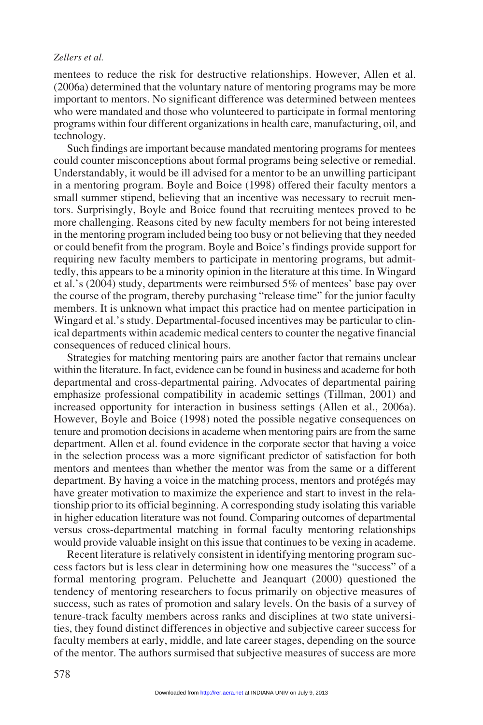mentees to reduce the risk for destructive relationships. However, Allen et al. (2006a) determined that the voluntary nature of mentoring programs may be more important to mentors. No significant difference was determined between mentees who were mandated and those who volunteered to participate in formal mentoring programs within four different organizations in health care, manufacturing, oil, and technology.

Such findings are important because mandated mentoring programs for mentees could counter misconceptions about formal programs being selective or remedial. Understandably, it would be ill advised for a mentor to be an unwilling participant in a mentoring program. Boyle and Boice (1998) offered their faculty mentors a small summer stipend, believing that an incentive was necessary to recruit mentors. Surprisingly, Boyle and Boice found that recruiting mentees proved to be more challenging. Reasons cited by new faculty members for not being interested in the mentoring program included being too busy or not believing that they needed or could benefit from the program. Boyle and Boice's findings provide support for requiring new faculty members to participate in mentoring programs, but admittedly, this appears to be a minority opinion in the literature at this time. In Wingard et al.'s (2004) study, departments were reimbursed 5% of mentees' base pay over the course of the program, thereby purchasing "release time" for the junior faculty members. It is unknown what impact this practice had on mentee participation in Wingard et al.'s study. Departmental-focused incentives may be particular to clinical departments within academic medical centers to counter the negative financial consequences of reduced clinical hours.

Strategies for matching mentoring pairs are another factor that remains unclear within the literature. In fact, evidence can be found in business and academe for both departmental and cross-departmental pairing. Advocates of departmental pairing emphasize professional compatibility in academic settings (Tillman, 2001) and increased opportunity for interaction in business settings (Allen et al., 2006a). However, Boyle and Boice (1998) noted the possible negative consequences on tenure and promotion decisions in academe when mentoring pairs are from the same department. Allen et al. found evidence in the corporate sector that having a voice in the selection process was a more significant predictor of satisfaction for both mentors and mentees than whether the mentor was from the same or a different department. By having a voice in the matching process, mentors and protégés may have greater motivation to maximize the experience and start to invest in the relationship prior to its official beginning. A corresponding study isolating this variable in higher education literature was not found. Comparing outcomes of departmental versus cross-departmental matching in formal faculty mentoring relationships would provide valuable insight on this issue that continues to be vexing in academe.

Recent literature is relatively consistent in identifying mentoring program success factors but is less clear in determining how one measures the "success" of a formal mentoring program. Peluchette and Jeanquart (2000) questioned the tendency of mentoring researchers to focus primarily on objective measures of success, such as rates of promotion and salary levels. On the basis of a survey of tenure-track faculty members across ranks and disciplines at two state universities, they found distinct differences in objective and subjective career success for faculty members at early, middle, and late career stages, depending on the source of the mentor. The authors surmised that subjective measures of success are more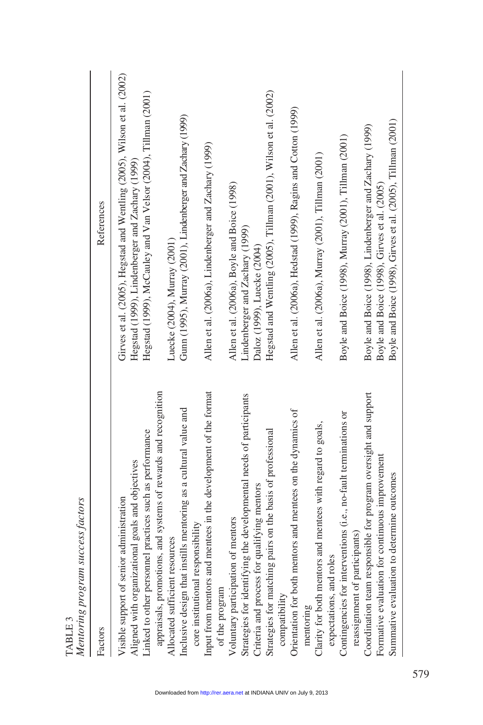| Mentoring program success factors<br>TABLE 3                                                                                            |                                                                         |
|-----------------------------------------------------------------------------------------------------------------------------------------|-------------------------------------------------------------------------|
| Factors                                                                                                                                 | References                                                              |
| Visible support of senior administration                                                                                                | Girves et al. (2005), Hegstad and Wentling (2005), Wilson et al. (2002) |
|                                                                                                                                         | Hegstad (1999), Lindenberger and Zachary (1999)                         |
| Aligned with organizational goals and objectives<br>Linked to other personnel practices such as performance                             | Hegstad (1999), McCauley and Van Velsor (2004), Tillman (2001)          |
| appraisals, promotions, and systems of rewards and recognition                                                                          |                                                                         |
|                                                                                                                                         | Luecke (2004), Murray (2001)                                            |
| Allocated sufficient resources<br>Inclusive design that instills mentoring as a cultural value and<br>core institutional responsibility | Gunn (1995), Murray (2001), Lindenberger and Zachary (1999)             |
|                                                                                                                                         |                                                                         |
| Input from mentors and mentees in the development of the format                                                                         | Allen et al. (2006a), Lindenberger and Zachary (1999)                   |
| of the program                                                                                                                          |                                                                         |
|                                                                                                                                         | Allen et al. (2006a), Boyle and Boice (1998)                            |
| Voluntary participation of mentors<br>Strategies for identifying the developmental needs of participants                                | Lindenberger and Zachary (1999)                                         |
|                                                                                                                                         | Daloz (1999), Luecke (2004)                                             |
| Criteria and process for qualifying mentors<br>Strategies for matching pairs on the basis of professional compatibility                 | Hegstad and Wentling (2005), Tillman (2001), Wilson et al. (2002)       |
|                                                                                                                                         |                                                                         |
| Orientation for both mentors and mentees on the dynamics of                                                                             | Allen et al. (2006a), Hedstad (1999), Ragins and Cotton (1999)          |
|                                                                                                                                         |                                                                         |
| mentoring<br>Clarity for both mentors and mentees with regard to goals,                                                                 | Allen et al. (2006a), Murray (2001), Tillman (2001)                     |
|                                                                                                                                         |                                                                         |
| expectations, and roles<br>Contingencies for interventions (i.e., no-fault terminations or                                              | Boyle and Boice (1998), Murray (2001), Tillman (2001)                   |
| reassignment of participants)                                                                                                           |                                                                         |
| Coordination team responsible for program oversight and support                                                                         | Boyle and Boice (1998), Lindenberger and Zachary (1999)                 |
| Formative evaluation for continuous improvement                                                                                         | Boyle and Boice $(1998)$ , Girves et al. $(2005)$                       |
| Summative evaluation to determine outcomes                                                                                              | Boyle and Boice (1998), Girves et al. (2005), Tillman (2001)            |
|                                                                                                                                         |                                                                         |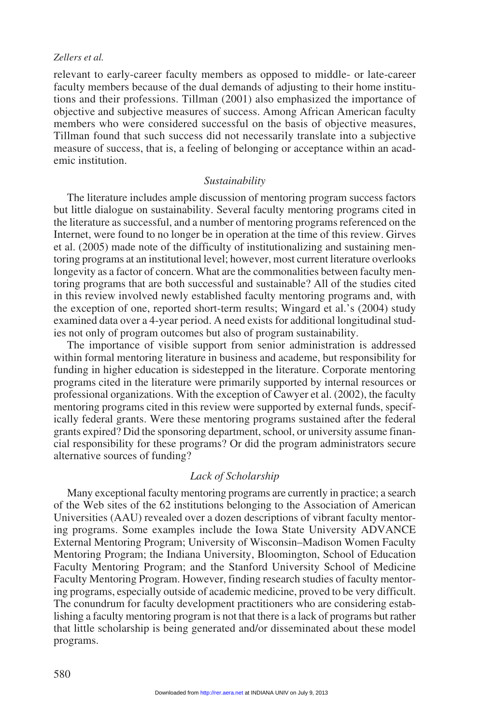relevant to early-career faculty members as opposed to middle- or late-career faculty members because of the dual demands of adjusting to their home institutions and their professions. Tillman (2001) also emphasized the importance of objective and subjective measures of success. Among African American faculty members who were considered successful on the basis of objective measures, Tillman found that such success did not necessarily translate into a subjective measure of success, that is, a feeling of belonging or acceptance within an academic institution.

## *Sustainability*

The literature includes ample discussion of mentoring program success factors but little dialogue on sustainability. Several faculty mentoring programs cited in the literature as successful, and a number of mentoring programs referenced on the Internet, were found to no longer be in operation at the time of this review. Girves et al. (2005) made note of the difficulty of institutionalizing and sustaining mentoring programs at an institutional level; however, most current literature overlooks longevity as a factor of concern. What are the commonalities between faculty mentoring programs that are both successful and sustainable? All of the studies cited in this review involved newly established faculty mentoring programs and, with the exception of one, reported short-term results; Wingard et al.'s (2004) study examined data over a 4-year period. A need exists for additional longitudinal studies not only of program outcomes but also of program sustainability.

The importance of visible support from senior administration is addressed within formal mentoring literature in business and academe, but responsibility for funding in higher education is sidestepped in the literature. Corporate mentoring programs cited in the literature were primarily supported by internal resources or professional organizations. With the exception of Cawyer et al. (2002), the faculty mentoring programs cited in this review were supported by external funds, specifically federal grants. Were these mentoring programs sustained after the federal grants expired? Did the sponsoring department, school, or university assume financial responsibility for these programs? Or did the program administrators secure alternative sources of funding?

## *Lack of Scholarship*

Many exceptional faculty mentoring programs are currently in practice; a search of the Web sites of the 62 institutions belonging to the Association of American Universities (AAU) revealed over a dozen descriptions of vibrant faculty mentoring programs. Some examples include the Iowa State University ADVANCE External Mentoring Program; University of Wisconsin–Madison Women Faculty Mentoring Program; the Indiana University, Bloomington, School of Education Faculty Mentoring Program; and the Stanford University School of Medicine Faculty Mentoring Program. However, finding research studies of faculty mentoring programs, especially outside of academic medicine, proved to be very difficult. The conundrum for faculty development practitioners who are considering establishing a faculty mentoring program is not that there is a lack of programs but rather that little scholarship is being generated and/or disseminated about these model programs.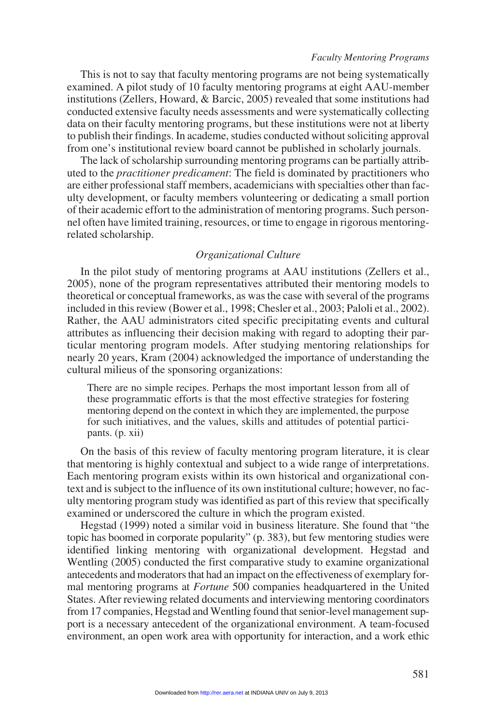This is not to say that faculty mentoring programs are not being systematically examined. A pilot study of 10 faculty mentoring programs at eight AAU-member institutions (Zellers, Howard, & Barcic, 2005) revealed that some institutions had conducted extensive faculty needs assessments and were systematically collecting data on their faculty mentoring programs, but these institutions were not at liberty to publish their findings. In academe, studies conducted without soliciting approval from one's institutional review board cannot be published in scholarly journals.

The lack of scholarship surrounding mentoring programs can be partially attributed to the *practitioner predicament*: The field is dominated by practitioners who are either professional staff members, academicians with specialties other than faculty development, or faculty members volunteering or dedicating a small portion of their academic effort to the administration of mentoring programs. Such personnel often have limited training, resources, or time to engage in rigorous mentoringrelated scholarship.

## *Organizational Culture*

In the pilot study of mentoring programs at AAU institutions (Zellers et al., 2005), none of the program representatives attributed their mentoring models to theoretical or conceptual frameworks, as was the case with several of the programs included in this review (Bower et al., 1998; Chesler et al., 2003; Paloli et al., 2002). Rather, the AAU administrators cited specific precipitating events and cultural attributes as influencing their decision making with regard to adopting their particular mentoring program models. After studying mentoring relationships for nearly 20 years, Kram (2004) acknowledged the importance of understanding the cultural milieus of the sponsoring organizations:

There are no simple recipes. Perhaps the most important lesson from all of these programmatic efforts is that the most effective strategies for fostering mentoring depend on the context in which they are implemented, the purpose for such initiatives, and the values, skills and attitudes of potential participants. (p. xii)

On the basis of this review of faculty mentoring program literature, it is clear that mentoring is highly contextual and subject to a wide range of interpretations. Each mentoring program exists within its own historical and organizational context and is subject to the influence of its own institutional culture; however, no faculty mentoring program study was identified as part of this review that specifically examined or underscored the culture in which the program existed.

Hegstad (1999) noted a similar void in business literature. She found that "the topic has boomed in corporate popularity" (p. 383), but few mentoring studies were identified linking mentoring with organizational development. Hegstad and Wentling (2005) conducted the first comparative study to examine organizational antecedents and moderators that had an impact on the effectiveness of exemplary formal mentoring programs at *Fortune* 500 companies headquartered in the United States. After reviewing related documents and interviewing mentoring coordinators from 17 companies, Hegstad and Wentling found that senior-level management support is a necessary antecedent of the organizational environment. A team-focused environment, an open work area with opportunity for interaction, and a work ethic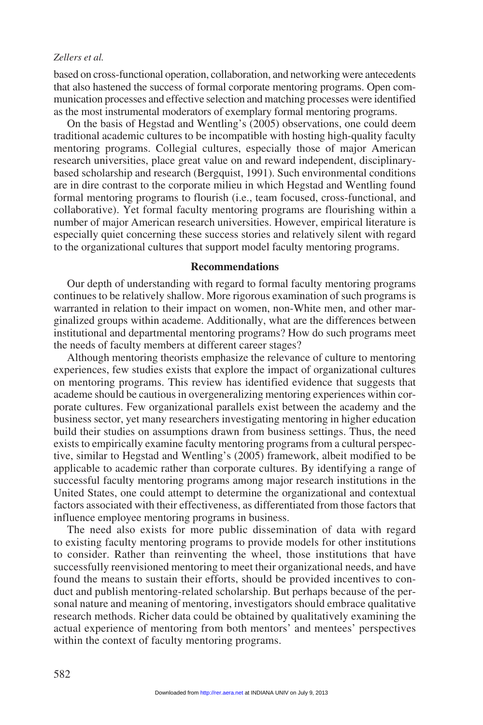based on cross-functional operation, collaboration, and networking were antecedents that also hastened the success of formal corporate mentoring programs. Open communication processes and effective selection and matching processes were identified as the most instrumental moderators of exemplary formal mentoring programs.

On the basis of Hegstad and Wentling's (2005) observations, one could deem traditional academic cultures to be incompatible with hosting high-quality faculty mentoring programs. Collegial cultures, especially those of major American research universities, place great value on and reward independent, disciplinarybased scholarship and research (Bergquist, 1991). Such environmental conditions are in dire contrast to the corporate milieu in which Hegstad and Wentling found formal mentoring programs to flourish (i.e., team focused, cross-functional, and collaborative). Yet formal faculty mentoring programs are flourishing within a number of major American research universities. However, empirical literature is especially quiet concerning these success stories and relatively silent with regard to the organizational cultures that support model faculty mentoring programs.

#### **Recommendations**

Our depth of understanding with regard to formal faculty mentoring programs continues to be relatively shallow. More rigorous examination of such programs is warranted in relation to their impact on women, non-White men, and other marginalized groups within academe. Additionally, what are the differences between institutional and departmental mentoring programs? How do such programs meet the needs of faculty members at different career stages?

Although mentoring theorists emphasize the relevance of culture to mentoring experiences, few studies exists that explore the impact of organizational cultures on mentoring programs. This review has identified evidence that suggests that academe should be cautious in overgeneralizing mentoring experiences within corporate cultures. Few organizational parallels exist between the academy and the business sector, yet many researchers investigating mentoring in higher education build their studies on assumptions drawn from business settings. Thus, the need exists to empirically examine faculty mentoring programs from a cultural perspective, similar to Hegstad and Wentling's (2005) framework, albeit modified to be applicable to academic rather than corporate cultures. By identifying a range of successful faculty mentoring programs among major research institutions in the United States, one could attempt to determine the organizational and contextual factors associated with their effectiveness, as differentiated from those factors that influence employee mentoring programs in business.

The need also exists for more public dissemination of data with regard to existing faculty mentoring programs to provide models for other institutions to consider. Rather than reinventing the wheel, those institutions that have successfully reenvisioned mentoring to meet their organizational needs, and have found the means to sustain their efforts, should be provided incentives to conduct and publish mentoring-related scholarship. But perhaps because of the personal nature and meaning of mentoring, investigators should embrace qualitative research methods. Richer data could be obtained by qualitatively examining the actual experience of mentoring from both mentors' and mentees' perspectives within the context of faculty mentoring programs.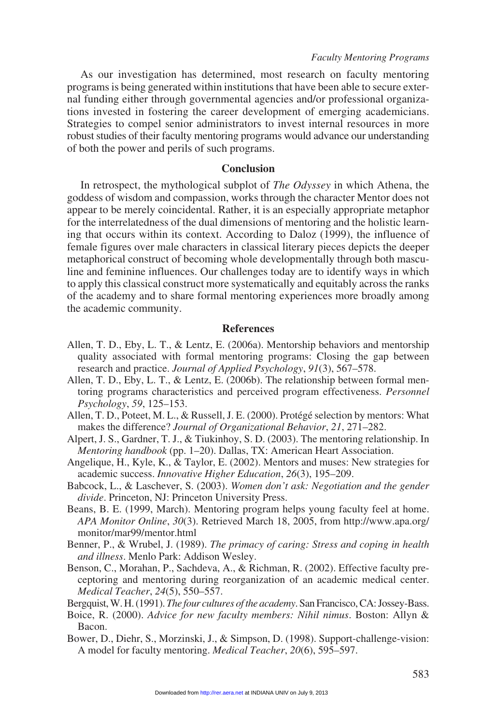As our investigation has determined, most research on faculty mentoring programs is being generated within institutions that have been able to secure external funding either through governmental agencies and/or professional organizations invested in fostering the career development of emerging academicians. Strategies to compel senior administrators to invest internal resources in more robust studies of their faculty mentoring programs would advance our understanding of both the power and perils of such programs.

## **Conclusion**

In retrospect, the mythological subplot of *The Odyssey* in which Athena, the goddess of wisdom and compassion, works through the character Mentor does not appear to be merely coincidental. Rather, it is an especially appropriate metaphor for the interrelatedness of the dual dimensions of mentoring and the holistic learning that occurs within its context. According to Daloz (1999), the influence of female figures over male characters in classical literary pieces depicts the deeper metaphorical construct of becoming whole developmentally through both masculine and feminine influences. Our challenges today are to identify ways in which to apply this classical construct more systematically and equitably across the ranks of the academy and to share formal mentoring experiences more broadly among the academic community.

#### **References**

- Allen, T. D., Eby, L. T., & Lentz, E. (2006a). Mentorship behaviors and mentorship quality associated with formal mentoring programs: Closing the gap between research and practice. *Journal of Applied Psychology*, *91*(3), 567–578.
- Allen, T. D., Eby, L. T., & Lentz, E. (2006b). The relationship between formal mentoring programs characteristics and perceived program effectiveness. *Personnel Psychology*, *59*, 125–153.
- Allen, T. D., Poteet, M. L., & Russell, J. E. (2000). Protégé selection by mentors: What makes the difference? *Journal of Organizational Behavior*, *21*, 271–282.
- Alpert, J. S., Gardner, T. J., & Tiukinhoy, S. D. (2003). The mentoring relationship. In *Mentoring handbook* (pp. 1–20). Dallas, TX: American Heart Association.
- Angelique, H., Kyle, K., & Taylor, E. (2002). Mentors and muses: New strategies for academic success. *Innovative Higher Education*, *26*(3), 195–209.
- Babcock, L., & Laschever, S. (2003). *Women don't ask: Negotiation and the gender divide*. Princeton, NJ: Princeton University Press.
- Beans, B. E. (1999, March). Mentoring program helps young faculty feel at home. *APA Monitor Online*, *30*(3). Retrieved March 18, 2005, from http://www.apa.org/ monitor/mar99/mentor.html
- Benner, P., & Wrubel, J. (1989). *The primacy of caring: Stress and coping in health and illness*. Menlo Park: Addison Wesley.
- Benson, C., Morahan, P., Sachdeva, A., & Richman, R. (2002). Effective faculty preceptoring and mentoring during reorganization of an academic medical center. *Medical Teacher*, *24*(5), 550–557.
- Bergquist, W. H. (1991). *The four cultures of the academy*. San Francisco, CA: Jossey-Bass.
- Boice, R. (2000). *Advice for new faculty members: Nihil nimus*. Boston: Allyn & Bacon.
- Bower, D., Diehr, S., Morzinski, J., & Simpson, D. (1998). Support-challenge-vision: A model for faculty mentoring. *Medical Teacher*, *20*(6), 595–597.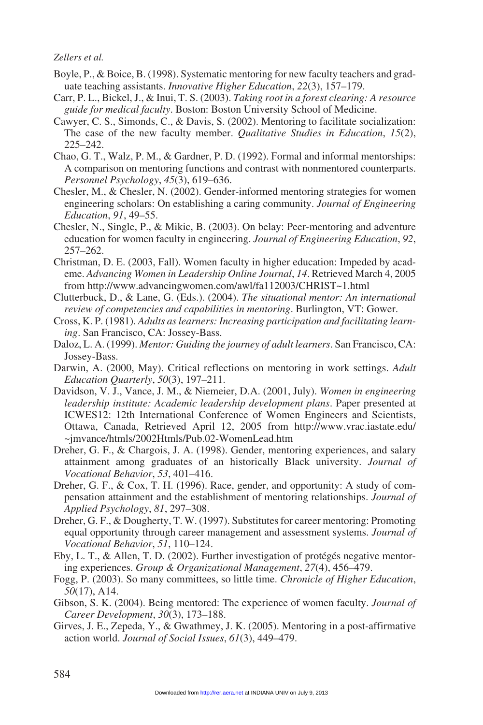- Boyle, P., & Boice, B. (1998). Systematic mentoring for new faculty teachers and graduate teaching assistants. *Innovative Higher Education*, *22*(3), 157–179.
- Carr, P. L., Bickel, J., & Inui, T. S. (2003). *Taking root in a forest clearing: A resource guide for medical faculty*. Boston: Boston University School of Medicine.
- Cawyer, C. S., Simonds, C., & Davis, S. (2002). Mentoring to facilitate socialization: The case of the new faculty member. *Qualitative Studies in Education*, *15*(2), 225–242.
- Chao, G. T., Walz, P. M., & Gardner, P. D. (1992). Formal and informal mentorships: A comparison on mentoring functions and contrast with nonmentored counterparts. *Personnel Psychology*, *45*(3), 619–636.
- Chesler, M., & Chesler, N. (2002). Gender-informed mentoring strategies for women engineering scholars: On establishing a caring community. *Journal of Engineering Education*, *91*, 49–55.
- Chesler, N., Single, P., & Mikic, B. (2003). On belay: Peer-mentoring and adventure education for women faculty in engineering. *Journal of Engineering Education*, *92*, 257–262.
- Christman, D. E. (2003, Fall). Women faculty in higher education: Impeded by academe. *Advancing Women in Leadership Online Journal*, *14*. Retrieved March 4, 2005 from http://www.advancingwomen.com/awl/fa112003/CHRIST~1.html
- Clutterbuck, D., & Lane, G. (Eds.). (2004). *The situational mentor: An international review of competencies and capabilities in mentoring*. Burlington, VT: Gower.
- Cross, K. P. (1981). *Adults as learners: Increasing participation and facilitating learning*. San Francisco, CA: Jossey-Bass.
- Daloz, L. A. (1999). *Mentor: Guiding the journey of adult learners*. San Francisco, CA: Jossey-Bass.
- Darwin, A. (2000, May). Critical reflections on mentoring in work settings. *Adult Education Quarterly*, *50*(3), 197–211.
- Davidson, V. J., Vance, J. M., & Niemeier, D.A. (2001, July). *Women in engineering leadership institute: Academic leadership development plans*. Paper presented at ICWES12: 12th International Conference of Women Engineers and Scientists, Ottawa, Canada, Retrieved April 12, 2005 from http://www.vrac.iastate.edu/ ~jmvance/htmls/2002Htmls/Pub.02-WomenLead.htm
- Dreher, G. F., & Chargois, J. A. (1998). Gender, mentoring experiences, and salary attainment among graduates of an historically Black university. *Journal of Vocational Behavior*, *53*, 401–416.
- Dreher, G. F., & Cox, T. H. (1996). Race, gender, and opportunity: A study of compensation attainment and the establishment of mentoring relationships. *Journal of Applied Psychology*, *81*, 297–308.
- Dreher, G. F., & Dougherty, T. W. (1997). Substitutes for career mentoring: Promoting equal opportunity through career management and assessment systems. *Journal of Vocational Behavior*, *51*, 110–124.
- Eby, L. T., & Allen, T. D. (2002). Further investigation of protégés negative mentoring experiences. *Group & Organizational Management*, *27*(4), 456–479.
- Fogg, P. (2003). So many committees, so little time. *Chronicle of Higher Education*, *50*(17), A14.
- Gibson, S. K. (2004). Being mentored: The experience of women faculty. *Journal of Career Development*, *30*(3), 173–188.
- Girves, J. E., Zepeda, Y., & Gwathmey, J. K. (2005). Mentoring in a post-affirmative action world. *Journal of Social Issues*, *61*(3), 449–479.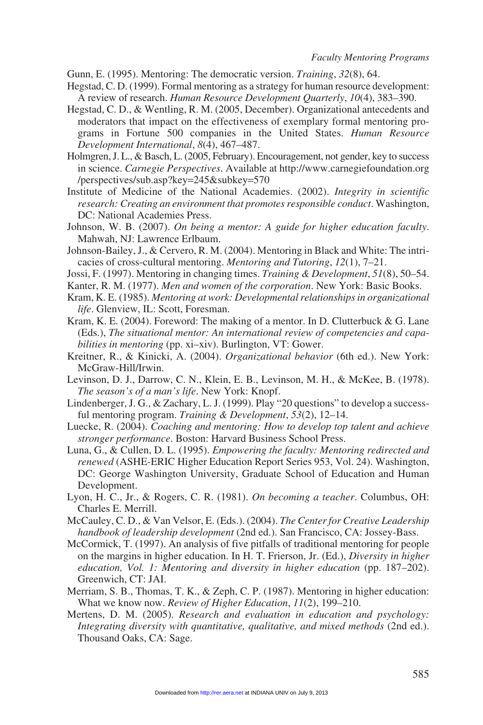Gunn, E. (1995). Mentoring: The democratic version. *Training*, *32*(8), 64.

- Hegstad, C. D. (1999). Formal mentoring as a strategy for human resource development: A review of research. *Human Resource Development Quarterly*, *10*(4), 383–390.
- Hegstad, C. D., & Wentling, R. M. (2005, December). Organizational antecedents and moderators that impact on the effectiveness of exemplary formal mentoring programs in Fortune 500 companies in the United States. *Human Resource Development International*, *8*(4), 467–487.
- Holmgren, J. L., & Basch, L. (2005, February). Encouragement, not gender, key to success in science. *Carnegie Perspectives*. Available at http://www.carnegiefoundation.org /perspectives/sub.asp?key=245&subkey=570
- Institute of Medicine of the National Academies. (2002). *Integrity in scientific research: Creating an environment that promotes responsible conduct*. Washington, DC: National Academies Press.
- Johnson, W. B. (2007). *On being a mentor: A guide for higher education faculty*. Mahwah, NJ: Lawrence Erlbaum.
- Johnson-Bailey, J., & Cervero, R. M. (2004). Mentoring in Black and White: The intricacies of cross-cultural mentoring. *Mentoring and Tutoring*, *12*(1), 7–21.
- Jossi, F. (1997). Mentoring in changing times. *Training & Development*, *51*(8), 50–54.
- Kanter, R. M. (1977). *Men and women of the corporation*. New York: Basic Books.
- Kram, K. E. (1985). *Mentoring at work: Developmental relationships in organizational life*. Glenview, IL: Scott, Foresman.
- Kram, K. E. (2004). Foreword: The making of a mentor. In D. Clutterbuck & G. Lane (Eds.), *The situational mentor: An international review of competencies and capabilities in mentoring* (pp. xi–xiv). Burlington, VT: Gower.
- Kreitner, R., & Kinicki, A. (2004). *Organizational behavior* (6th ed.). New York: McGraw-Hill/Irwin.
- Levinson, D. J., Darrow, C. N., Klein, E. B., Levinson, M. H., & McKee, B. (1978). *The season's of a man's life*. New York: Knopf.
- Lindenberger, J. G., & Zachary, L. J. (1999). Play "20 questions" to develop a successful mentoring program. *Training & Development*, *53*(2), 12–14.
- Luecke, R. (2004). *Coaching and mentoring: How to develop top talent and achieve stronger performance*. Boston: Harvard Business School Press.
- Luna, G., & Cullen, D. L. (1995). *Empowering the faculty: Mentoring redirected and renewed* (ASHE-ERIC Higher Education Report Series 953, Vol. 24). Washington, DC: George Washington University, Graduate School of Education and Human Development.
- Lyon, H. C., Jr., & Rogers, C. R. (1981). *On becoming a teacher*. Columbus, OH: Charles E. Merrill.
- McCauley, C. D., & Van Velsor, E. (Eds.). (2004). *The Center for Creative Leadership handbook of leadership development* (2nd ed.). San Francisco, CA: Jossey-Bass.
- McCormick, T. (1997). An analysis of five pitfalls of traditional mentoring for people on the margins in higher education. In H. T. Frierson, Jr. (Ed.), *Diversity in higher education, Vol. 1: Mentoring and diversity in higher education* (pp. 187–202). Greenwich, CT: JAI.
- Merriam, S. B., Thomas, T. K., & Zeph, C. P. (1987). Mentoring in higher education: What we know now. *Review of Higher Education*, *11*(2), 199–210.
- Mertens, D. M. (2005). *Research and evaluation in education and psychology: Integrating diversity with quantitative, qualitative, and mixed methods* (2nd ed.). Thousand Oaks, CA: Sage.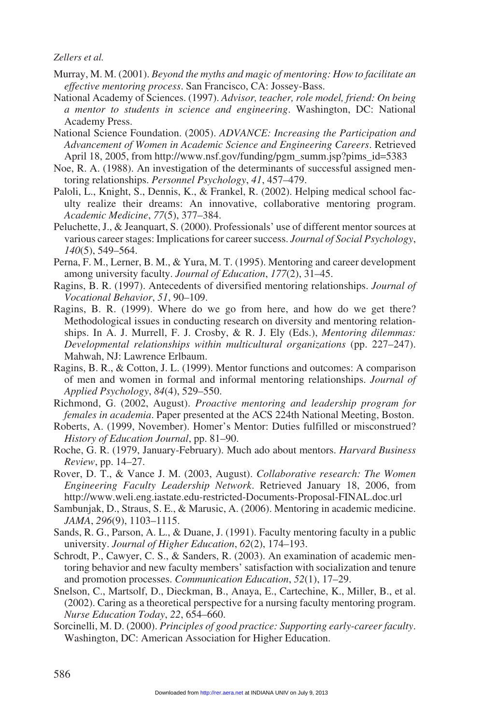- Murray, M. M. (2001). *Beyond the myths and magic of mentoring: How to facilitate an effective mentoring process*. San Francisco, CA: Jossey-Bass.
- National Academy of Sciences. (1997). *Advisor, teacher, role model, friend: On being a mentor to students in science and engineering*. Washington, DC: National Academy Press.
- National Science Foundation. (2005). *ADVANCE: Increasing the Participation and Advancement of Women in Academic Science and Engineering Careers*. Retrieved April 18, 2005, from http://www.nsf.gov/funding/pgm\_summ.jsp?pims\_id=5383
- Noe, R. A. (1988). An investigation of the determinants of successful assigned mentoring relationships. *Personnel Psychology*, *41*, 457–479.
- Paloli, L., Knight, S., Dennis, K., & Frankel, R. (2002). Helping medical school faculty realize their dreams: An innovative, collaborative mentoring program. *Academic Medicine*, *77*(5), 377–384.
- Peluchette, J., & Jeanquart, S. (2000). Professionals' use of different mentor sources at various career stages: Implications for career success. *Journal of Social Psychology*, *140*(5), 549–564.
- Perna, F. M., Lerner, B. M., & Yura, M. T. (1995). Mentoring and career development among university faculty. *Journal of Education*, *177*(2), 31–45.
- Ragins, B. R. (1997). Antecedents of diversified mentoring relationships. *Journal of Vocational Behavior*, *51*, 90–109.
- Ragins, B. R. (1999). Where do we go from here, and how do we get there? Methodological issues in conducting research on diversity and mentoring relationships. In A. J. Murrell, F. J. Crosby, & R. J. Ely (Eds.), *Mentoring dilemmas: Developmental relationships within multicultural organizations* (pp. 227–247). Mahwah, NJ: Lawrence Erlbaum.
- Ragins, B. R., & Cotton, J. L. (1999). Mentor functions and outcomes: A comparison of men and women in formal and informal mentoring relationships. *Journal of Applied Psychology*, *84*(4), 529–550.
- Richmond, G. (2002, August). *Proactive mentoring and leadership program for females in academia*. Paper presented at the ACS 224th National Meeting, Boston.
- Roberts, A. (1999, November). Homer's Mentor: Duties fulfilled or misconstrued? *History of Education Journal*, pp. 81–90.
- Roche, G. R. (1979, January-February). Much ado about mentors. *Harvard Business Review*, pp. 14–27.
- Rover, D. T., & Vance J. M. (2003, August). *Collaborative research: The Women Engineering Faculty Leadership Network*. Retrieved January 18, 2006, from http://www.weli.eng.iastate.edu-restricted-Documents-Proposal-FINAL.doc.url
- Sambunjak, D., Straus, S. E., & Marusic, A. (2006). Mentoring in academic medicine. *JAMA*, *296*(9), 1103–1115.
- Sands, R. G., Parson, A. L., & Duane, J. (1991). Faculty mentoring faculty in a public university. *Journal of Higher Education*, *62*(2), 174–193.
- Schrodt, P., Cawyer, C. S., & Sanders, R. (2003). An examination of academic mentoring behavior and new faculty members' satisfaction with socialization and tenure and promotion processes. *Communication Education*, *52*(1), 17–29.
- Snelson, C., Martsolf, D., Dieckman, B., Anaya, E., Cartechine, K., Miller, B., et al. (2002). Caring as a theoretical perspective for a nursing faculty mentoring program. *Nurse Education Today*, *22*, 654–660.
- Sorcinelli, M. D. (2000). *Principles of good practice: Supporting early-career faculty*. Washington, DC: American Association for Higher Education.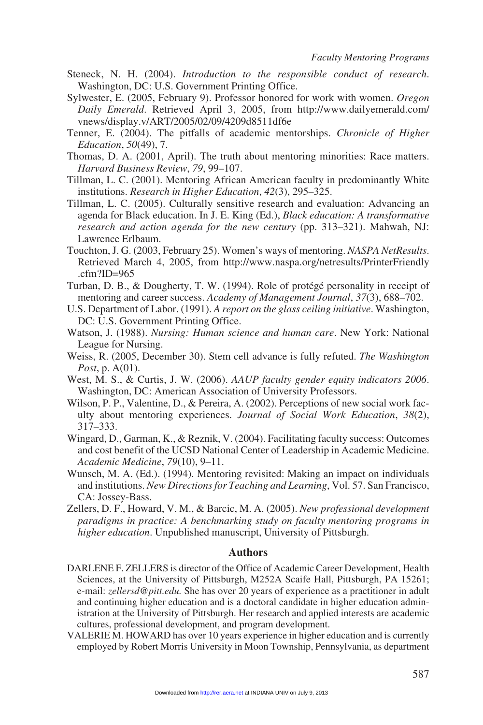- Steneck, N. H. (2004). *Introduction to the responsible conduct of research*. Washington, DC: U.S. Government Printing Office.
- Sylwester, E. (2005, February 9). Professor honored for work with women. *Oregon Daily Emerald*. Retrieved April 3, 2005, from http://www.dailyemerald.com/ vnews/display.v/ART/2005/02/09/4209d8511df6e
- Tenner, E. (2004). The pitfalls of academic mentorships. *Chronicle of Higher Education*, *50*(49), 7.
- Thomas, D. A. (2001, April). The truth about mentoring minorities: Race matters. *Harvard Business Review*, *79*, 99–107.
- Tillman, L. C. (2001). Mentoring African American faculty in predominantly White institutions. *Research in Higher Education*, *42*(3), 295–325.
- Tillman, L. C. (2005). Culturally sensitive research and evaluation: Advancing an agenda for Black education. In J. E. King (Ed.), *Black education: A transformative research and action agenda for the new century* (pp. 313–321). Mahwah, NJ: Lawrence Erlbaum.
- Touchton, J. G. (2003, February 25). Women's ways of mentoring. *NASPA NetResults*. Retrieved March 4, 2005, from http://www.naspa.org/netresults/PrinterFriendly .cfm?ID=965
- Turban, D. B., & Dougherty, T. W. (1994). Role of protégé personality in receipt of mentoring and career success. *Academy of Management Journal*, *37*(3), 688–702.
- U.S. Department of Labor. (1991). *A report on the glass ceiling initiative*. Washington, DC: U.S. Government Printing Office.
- Watson, J. (1988). *Nursing: Human science and human care*. New York: National League for Nursing.
- Weiss, R. (2005, December 30). Stem cell advance is fully refuted. *The Washington Post*, p. A(01).
- West, M. S., & Curtis, J. W. (2006). *AAUP faculty gender equity indicators 2006*. Washington, DC: American Association of University Professors.
- Wilson, P. P., Valentine, D., & Pereira, A. (2002). Perceptions of new social work faculty about mentoring experiences. *Journal of Social Work Education*, *38*(2), 317–333.
- Wingard, D., Garman, K., & Reznik, V. (2004). Facilitating faculty success: Outcomes and cost benefit of the UCSD National Center of Leadership in Academic Medicine. *Academic Medicine*, *79*(10), 9–11.
- Wunsch, M. A. (Ed.). (1994). Mentoring revisited: Making an impact on individuals and institutions. *New Directions for Teaching and Learning*, Vol. 57. San Francisco, CA: Jossey-Bass.
- Zellers, D. F., Howard, V. M., & Barcic, M. A. (2005). *New professional development paradigms in practice: A benchmarking study on faculty mentoring programs in higher education*. Unpublished manuscript, University of Pittsburgh.

## **Authors**

- DARLENE F. ZELLERS is director of the Office of Academic Career Development, Health Sciences, at the University of Pittsburgh, M252A Scaife Hall, Pittsburgh, PA 15261; e-mail: *zellersd@pitt.edu.* She has over 20 years of experience as a practitioner in adult and continuing higher education and is a doctoral candidate in higher education administration at the University of Pittsburgh. Her research and applied interests are academic cultures, professional development, and program development.
- VALERIE M. HOWARD has over 10 years experience in higher education and is currently employed by Robert Morris University in Moon Township, Pennsylvania, as department